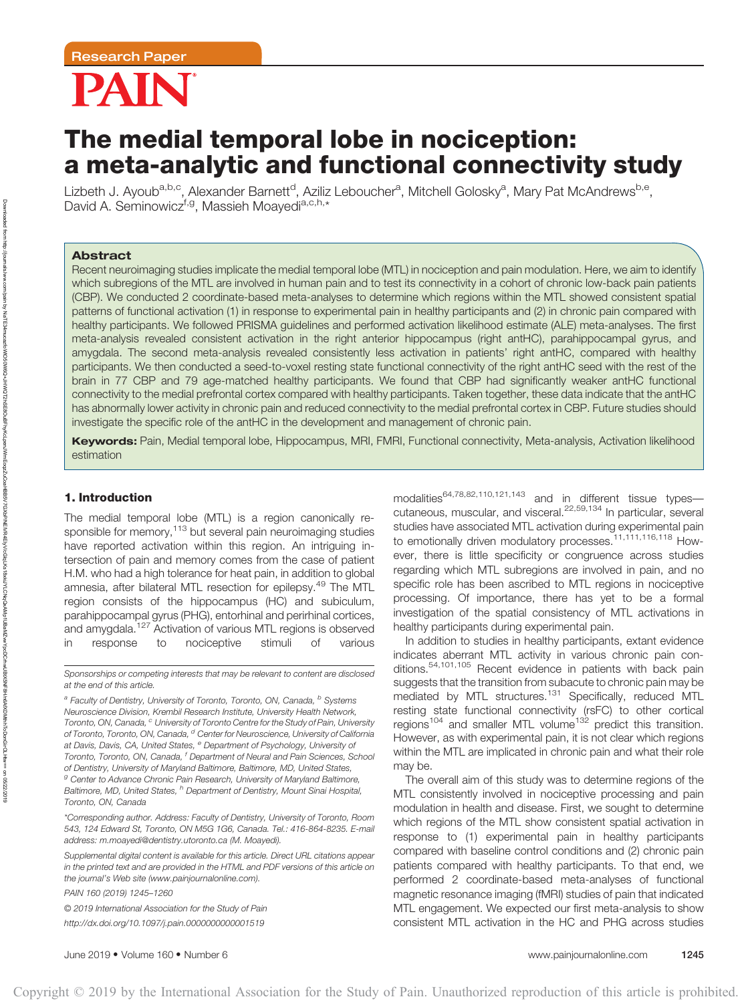# PAIN

# The medial temporal lobe in nociception: a meta-analytic and functional connectivity study

Lizbeth J. Ayoub<sup>a,b,c</sup>, Alexander Barnett<sup>d</sup>, Aziliz Leboucher<sup>a</sup>, Mitchell Golosky<sup>a</sup>, Mary Pat McAndrews<sup>b,e</sup>, David A. Seminowicz<sup>f,g</sup>, Massieh Moayedi<sup>a,c,h,\*</sup>

# **Abstract**

Recent neuroimaging studies implicate the medial temporal lobe (MTL) in nociception and pain modulation. Here, we aim to identify which subregions of the MTL are involved in human pain and to test its connectivity in a cohort of chronic low-back pain patients (CBP). We conducted 2 coordinate-based meta-analyses to determine which regions within the MTL showed consistent spatial patterns of functional activation (1) in response to experimental pain in healthy participants and (2) in chronic pain compared with healthy participants. We followed PRISMA guidelines and performed activation likelihood estimate (ALE) meta-analyses. The first meta-analysis revealed consistent activation in the right anterior hippocampus (right antHC), parahippocampal gyrus, and amygdala. The second meta-analysis revealed consistently less activation in patients' right antHC, compared with healthy participants. We then conducted a seed-to-voxel resting state functional connectivity of the right antHC seed with the rest of the brain in 77 CBP and 79 age-matched healthy participants. We found that CBP had significantly weaker antHC functional connectivity to the medial prefrontal cortex compared with healthy participants. Taken together, these data indicate that the antHC has abnormally lower activity in chronic pain and reduced connectivity to the medial prefrontal cortex in CBP. Future studies should investigate the specific role of the antHC in the development and management of chronic pain.

Keywords: Pain, Medial temporal lobe, Hippocampus, MRI, FMRI, Functional connectivity, Meta-analysis, Activation likelihood estimation

# 1. Introduction

The medial temporal lobe (MTL) is a region canonically responsible for memory,<sup>113</sup> but several pain neuroimaging studies have reported activation within this region. An intriguing intersection of pain and memory comes from the case of patient H.M. who had a high tolerance for heat pain, in addition to global amnesia, after bilateral MTL resection for epilepsy.<sup>49</sup> The MTL region consists of the hippocampus (HC) and subiculum, parahippocampal gyrus (PHG), entorhinal and perirhinal cortices, and amygdala.<sup>127</sup> Activation of various MTL regions is observed in response to nociceptive stimuli of various

Sponsorships or competing interests that may be relevant to content are disclosed at the end of this article.

<sup>a</sup> Faculty of Dentistry, University of Toronto, Toronto, ON, Canada, <sup>b</sup> Systems Neuroscience Division, Krembil Research Institute, University Health Network, Toronto, ON, Canada, <sup>c</sup> University of Toronto Centre for the Study of Pain, University of Toronto, Toronto, ON, Canada, <sup>d</sup> Center for Neuroscience, University of California at Davis, Davis, CA, United States, <sup>e</sup> Department of Psychology, University of Toronto, Toronto, ON, Canada, <sup>f</sup> Department of Neural and Pain Sciences, School of Dentistry, University of Maryland Baltimore, Baltimore, MD, United States, <sup>g</sup> Center to Advance Chronic Pain Research, University of Maryland Baltimore, Baltimore, MD, United States, <sup>h</sup> Department of Dentistry, Mount Sinai Hospital, Toronto, ON, Canada

\*Corresponding author. Address: Faculty of Dentistry, University of Toronto, Room 543, 124 Edward St, Toronto, ON M5G 1G6, Canada. Tel.: 416-864-8235. E-mail address: [m.moayedi@dentistry.utoronto.ca](mailto:m.moayedi@dentistry.utoronto.ca) (M. Moayedi).

PAIN 160 (2019) 1245–1260

© 2019 International Association for the Study of Pain <http://dx.doi.org/10.1097/j.pain.0000000000001519>

modalities64,78,82,110,121,143 and in different tissue types cutaneous, muscular, and visceral.22,59,134 In particular, several studies have associated MTL activation during experimental pain to emotionally driven modulatory processes.<sup>11,111,116,118</sup> However, there is little specificity or congruence across studies regarding which MTL subregions are involved in pain, and no specific role has been ascribed to MTL regions in nociceptive processing. Of importance, there has yet to be a formal investigation of the spatial consistency of MTL activations in healthy participants during experimental pain.

In addition to studies in healthy participants, extant evidence indicates aberrant MTL activity in various chronic pain conditions.54,101,105 Recent evidence in patients with back pain suggests that the transition from subacute to chronic pain may be mediated by MTL structures.<sup>131</sup> Specifically, reduced MTL resting state functional connectivity (rsFC) to other cortical regions<sup>104</sup> and smaller MTL volume<sup>132</sup> predict this transition. However, as with experimental pain, it is not clear which regions within the MTL are implicated in chronic pain and what their role may be.

The overall aim of this study was to determine regions of the MTL consistently involved in nociceptive processing and pain modulation in health and disease. First, we sought to determine which regions of the MTL show consistent spatial activation in response to (1) experimental pain in healthy participants compared with baseline control conditions and (2) chronic pain patients compared with healthy participants. To that end, we performed 2 coordinate-based meta-analyses of functional magnetic resonance imaging (fMRI) studies of pain that indicated MTL engagement. We expected our first meta-analysis to show consistent MTL activation in the HC and PHG across studies

Supplemental digital content is available for this article. Direct URL citations appear in the printed text and are provided in the HTML and PDF versions of this article on the journal's Web site [\(www.painjournalonline.com](http://www.painjournalonline.com)).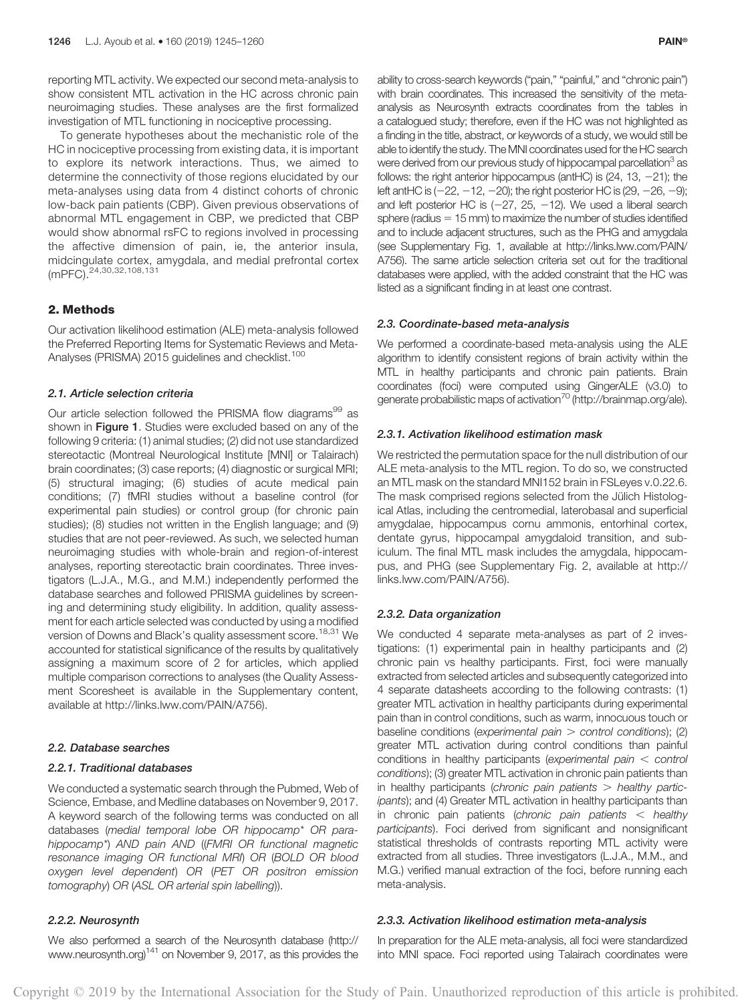reporting MTL activity. We expected our second meta-analysis to show consistent MTL activation in the HC across chronic pain neuroimaging studies. These analyses are the first formalized investigation of MTL functioning in nociceptive processing.

To generate hypotheses about the mechanistic role of the HC in nociceptive processing from existing data, it is important to explore its network interactions. Thus, we aimed to determine the connectivity of those regions elucidated by our meta-analyses using data from 4 distinct cohorts of chronic low-back pain patients (CBP). Given previous observations of abnormal MTL engagement in CBP, we predicted that CBP would show abnormal rsFC to regions involved in processing the affective dimension of pain, ie, the anterior insula, midcingulate cortex, amygdala, and medial prefrontal cortex (mPFC).<sup>24,30,32,108,131</sup>

# 2. Methods

Our activation likelihood estimation (ALE) meta-analysis followed the Preferred Reporting Items for Systematic Reviews and Meta-Analyses (PRISMA) 2015 guidelines and checklist.<sup>100</sup>

#### 2.1. Article selection criteria

Our article selection followed the PRISMA flow diagrams<sup>99</sup> as shown in **Figure 1**. Studies were excluded based on any of the following 9 criteria: (1) animal studies; (2) did not use standardized stereotactic (Montreal Neurological Institute [MNI] or Talairach) brain coordinates; (3) case reports; (4) diagnostic or surgical MRI; (5) structural imaging; (6) studies of acute medical pain conditions; (7) fMRI studies without a baseline control (for experimental pain studies) or control group (for chronic pain studies); (8) studies not written in the English language; and (9) studies that are not peer-reviewed. As such, we selected human neuroimaging studies with whole-brain and region-of-interest analyses, reporting stereotactic brain coordinates. Three investigators (L.J.A., M.G., and M.M.) independently performed the database searches and followed PRISMA guidelines by screening and determining study eligibility. In addition, quality assessment for each article selected was conducted by using a modified version of Downs and Black's quality assessment score.<sup>18,31</sup> We accounted for statistical significance of the results by qualitatively assigning a maximum score of 2 for articles, which applied multiple comparison corrections to analyses (the Quality Assessment Scoresheet is available in the Supplementary content, available at [http://links.lww.com/PAIN/A756\)](http://links.lww.com/PAIN/A756).

#### 2.2. Database searches

#### 2.2.1. Traditional databases

We conducted a systematic search through the Pubmed, Web of Science, Embase, and Medline databases on November 9, 2017. A keyword search of the following terms was conducted on all databases (medial temporal lobe OR hippocamp\* OR parahippocamp\*) AND pain AND ((FMRI OR functional magnetic resonance imaging OR functional MRI) OR (BOLD OR blood oxygen level dependent) OR (PET OR positron emission tomography) OR (ASL OR arterial spin labelling)).

#### 2.2.2. Neurosynth

We also performed a search of the Neurosynth database [\(http://](http://www.neurosynth.org) [www.neurosynth.org](http://www.neurosynth.org))141 on November 9, 2017, as this provides the

ability to cross-search keywords ("pain," "painful," and "chronic pain") with brain coordinates. This increased the sensitivity of the metaanalysis as Neurosynth extracts coordinates from the tables in a catalogued study; therefore, even if the HC was not highlighted as a finding in the title, abstract, or keywords of a study, we would still be able to identify the study. The MNI coordinates used for the HC search were derived from our previous study of hippocampal parcellation<sup>3</sup> as follows: the right anterior hippocampus (antHC) is  $(24, 13, -21)$ ; the left antHC is  $(-22, -12, -20)$ ; the right posterior HC is  $(29, -26, -9)$ ; and left posterior HC is  $(-27, 25, -12)$ . We used a liberal search sphere (radius  $= 15$  mm) to maximize the number of studies identified and to include adjacent structures, such as the PHG and amygdala (see Supplementary Fig. 1, available at [http://links.lww.com/PAIN/](http://links.lww.com/PAIN/A756) [A756](http://links.lww.com/PAIN/A756)). The same article selection criteria set out for the traditional databases were applied, with the added constraint that the HC was listed as a significant finding in at least one contrast.

#### 2.3. Coordinate-based meta-analysis

We performed a coordinate-based meta-analysis using the ALE algorithm to identify consistent regions of brain activity within the MTL in healthy participants and chronic pain patients. Brain coordinates (foci) were computed using GingerALE (v3.0) to generate probabilistic maps of activation<sup>70</sup> [\(http://brainmap.org/ale\)](http://brainmap.org/ale).

# 2.3.1. Activation likelihood estimation mask

We restricted the permutation space for the null distribution of our ALE meta-analysis to the MTL region. To do so, we constructed an MTL mask on the standard MNI152 brain in FSLeyes v.0.22.6. The mask comprised regions selected from the Jülich Histological Atlas, including the centromedial, laterobasal and superficial amygdalae, hippocampus cornu ammonis, entorhinal cortex, dentate gyrus, hippocampal amygdaloid transition, and subiculum. The final MTL mask includes the amygdala, hippocampus, and PHG (see Supplementary Fig. 2, available at [http://](http://links.lww.com/PAIN/A756) [links.lww.com/PAIN/A756](http://links.lww.com/PAIN/A756)).

#### 2.3.2. Data organization

We conducted 4 separate meta-analyses as part of 2 investigations: (1) experimental pain in healthy participants and (2) chronic pain vs healthy participants. First, foci were manually extracted from selected articles and subsequently categorized into 4 separate datasheets according to the following contrasts: (1) greater MTL activation in healthy participants during experimental pain than in control conditions, such as warm, innocuous touch or baseline conditions (experimental pain  $>$  control conditions); (2) greater MTL activation during control conditions than painful conditions in healthy participants (experimental pain  $\lt$  control conditions); (3) greater MTL activation in chronic pain patients than in healthy participants (chronic pain patients  $>$  healthy participants); and (4) Greater MTL activation in healthy participants than in chronic pain patients (chronic pain patients  $\lt$  healthy participants). Foci derived from significant and nonsignificant statistical thresholds of contrasts reporting MTL activity were extracted from all studies. Three investigators (L.J.A., M.M., and M.G.) verified manual extraction of the foci, before running each meta-analysis.

#### 2.3.3. Activation likelihood estimation meta-analysis

In preparation for the ALE meta-analysis, all foci were standardized into MNI space. Foci reported using Talairach coordinates were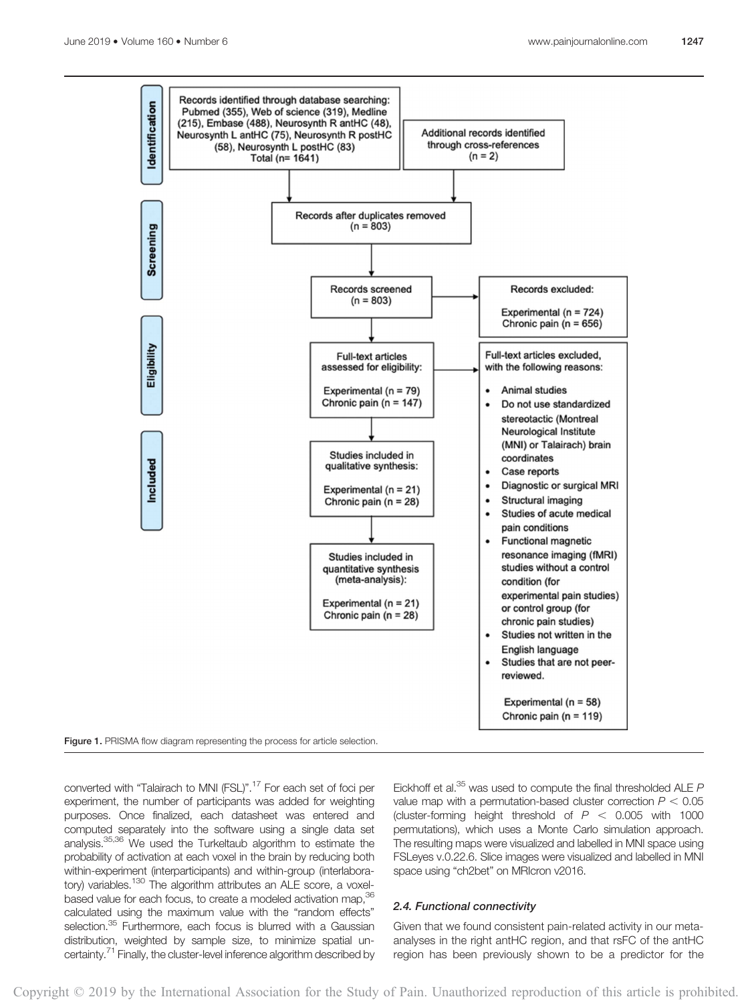

Figure 1. PRISMA flow diagram representing the process for article selection.

converted with "Talairach to MNI (FSL)".17 For each set of foci per experiment, the number of participants was added for weighting purposes. Once finalized, each datasheet was entered and computed separately into the software using a single data set analysis.35,36 We used the Turkeltaub algorithm to estimate the probability of activation at each voxel in the brain by reducing both within-experiment (interparticipants) and within-group (interlaboratory) variables.<sup>130</sup> The algorithm attributes an ALE score, a voxelbased value for each focus, to create a modeled activation map, 36 calculated using the maximum value with the "random effects" selection.<sup>35</sup> Furthermore, each focus is blurred with a Gaussian distribution, weighted by sample size, to minimize spatial uncertainty.<sup>71</sup> Finally, the cluster-level inference algorithm described by Eickhoff et al. $^{35}$  was used to compute the final thresholded ALE  $P$ value map with a permutation-based cluster correction  $P < 0.05$ (cluster-forming height threshold of  $P < 0.005$  with 1000 permutations), which uses a Monte Carlo simulation approach. The resulting maps were visualized and labelled in MNI space using FSLeyes v.0.22.6. Slice images were visualized and labelled in MNI space using "ch2bet" on MRIcron v2016.

# 2.4. Functional connectivity

Given that we found consistent pain-related activity in our metaanalyses in the right antHC region, and that rsFC of the antHC region has been previously shown to be a predictor for the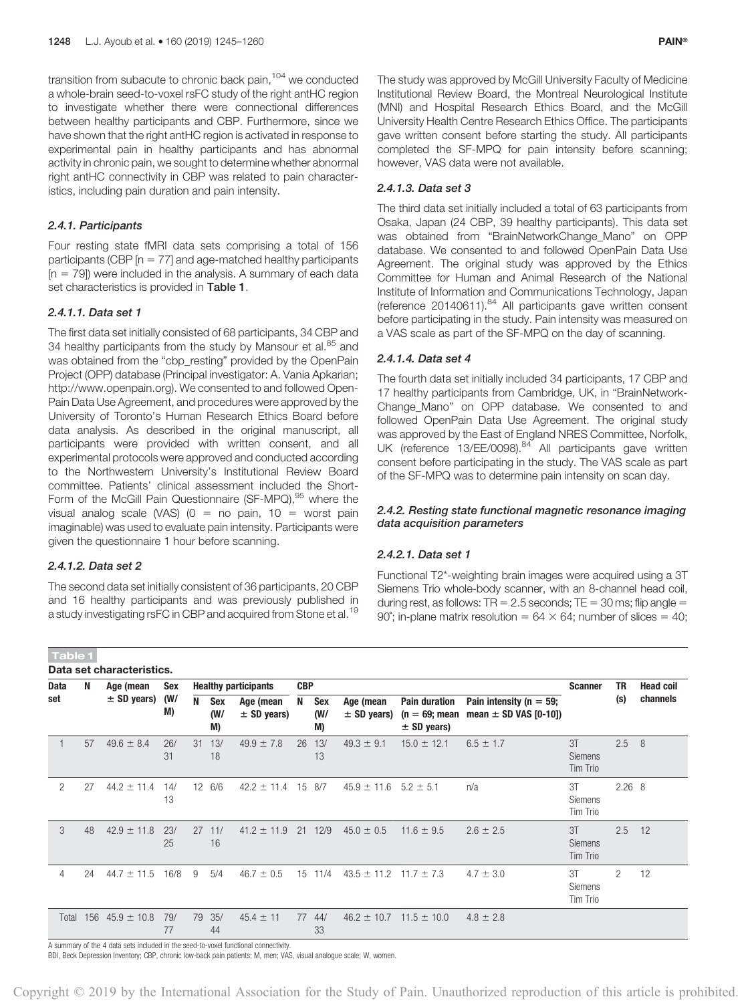transition from subacute to chronic back pain,<sup>104</sup> we conducted a whole-brain seed-to-voxel rsFC study of the right antHC region to investigate whether there were connectional differences between healthy participants and CBP. Furthermore, since we have shown that the right antHC region is activated in response to experimental pain in healthy participants and has abnormal activity in chronic pain, we sought to determine whether abnormal right antHC connectivity in CBP was related to pain characteristics, including pain duration and pain intensity.

# 2.4.1. Participants

Four resting state fMRI data sets comprising a total of 156 participants (CBP  $[n = 77]$  and age-matched healthy participants  $[n = 79]$ ) were included in the analysis. A summary of each data set characteristics is provided in Table 1.

# 2.4.1.1. Data set 1

The first data set initially consisted of 68 participants, 34 CBP and 34 healthy participants from the study by Mansour et al.<sup>85</sup> and was obtained from the "cbp\_resting" provided by the OpenPain Project (OPP) database (Principal investigator: A. Vania Apkarian; <http://www.openpain.org>). We consented to and followed Open-Pain Data Use Agreement, and procedures were approved by the University of Toronto's Human Research Ethics Board before data analysis. As described in the original manuscript, all participants were provided with written consent, and all experimental protocols were approved and conducted according to the Northwestern University's Institutional Review Board committee. Patients' clinical assessment included the Short-Form of the McGill Pain Questionnaire (SF-MPQ),<sup>95</sup> where the visual analog scale (VAS) ( $0 =$  no pain, 10 = worst pain imaginable) was used to evaluate pain intensity. Participants were given the questionnaire 1 hour before scanning.

# 2.4.1.2. Data set 2

Table 1

The second data set initially consistent of 36 participants, 20 CBP and 16 healthy participants and was previously published in a study investigating rsFC in CBP and acquired from Stone et al.<sup>19</sup>

The study was approved by McGill University Faculty of Medicine Institutional Review Board, the Montreal Neurological Institute (MNI) and Hospital Research Ethics Board, and the McGill University Health Centre Research Ethics Office. The participants gave written consent before starting the study. All participants completed the SF-MPQ for pain intensity before scanning; however, VAS data were not available.

# 2.4.1.3. Data set 3

The third data set initially included a total of 63 participants from Osaka, Japan (24 CBP, 39 healthy participants). This data set was obtained from "BrainNetworkChange\_Mano" on OPP database. We consented to and followed OpenPain Data Use Agreement. The original study was approved by the Ethics Committee for Human and Animal Research of the National Institute of Information and Communications Technology, Japan (reference 20140611).<sup>84</sup> All participants gave written consent before participating in the study. Pain intensity was measured on a VAS scale as part of the SF-MPQ on the day of scanning.

# 2.4.1.4. Data set 4

The fourth data set initially included 34 participants, 17 CBP and 17 healthy participants from Cambridge, UK, in "BrainNetwork-Change Mano" on OPP database. We consented to and followed OpenPain Data Use Agreement. The original study was approved by the East of England NRES Committee, Norfolk, UK (reference 13/EE/0098).<sup>84</sup> All participants gave written consent before participating in the study. The VAS scale as part of the SF-MPQ was to determine pain intensity on scan day.

# 2.4.2. Resting state functional magnetic resonance imaging data acquisition parameters

## 2.4.2.1. Data set 1

Functional T2\*-weighting brain images were acquired using a 3T Siemens Trio whole-body scanner, with an 8-channel head coil, during rest, as follows: TR =  $2.5$  seconds; TE =  $30$  ms; flip angle = 90°; in-plane matrix resolution =  $64 \times 64$ ; number of slices = 40;

| ______      | Data set characteristics. |                 |           |    |                         |                              |            |                  |                                |                                                            |                                                          |                                    |                   |          |
|-------------|---------------------------|-----------------|-----------|----|-------------------------|------------------------------|------------|------------------|--------------------------------|------------------------------------------------------------|----------------------------------------------------------|------------------------------------|-------------------|----------|
| <b>Data</b> | N                         | Age (mean       | Sex       |    |                         | <b>Healthy participants</b>  | <b>CBP</b> |                  |                                |                                                            |                                                          | <b>TR</b><br><b>Scanner</b><br>(s) | <b>Head coil</b>  |          |
| set         |                           | $\pm$ SD years) | (W/<br>M) | N  | <b>Sex</b><br>(W/<br>M) | Age (mean<br>$\pm$ SD years) | N          | Sex<br>(W/<br>M) | Age (mean<br>$\pm$ SD years)   | <b>Pain duration</b><br>$(n = 69;$ mean<br>$\pm$ SD years) | Pain intensity ( $n = 59$ ;<br>mean $\pm$ SD VAS [0-10]) |                                    |                   | channels |
|             | 57                        | $49.6 \pm 8.4$  | 26/<br>31 | 31 | 13/<br>18               | $49.9 \pm 7.8$               | 26         | 13/<br>13        | $49.3 \pm 9.1$                 | $15.0 \pm 12.1$                                            | $6.5 \pm 1.7$                                            | 3T<br><b>Siemens</b><br>Tim Trio   | 2.5               | 8        |
| 2           | 27                        | $44.2 \pm 11.4$ | 14/<br>13 |    | 12 6/6                  | $42.2 \pm 11.4$              |            | 15 8/7           | $45.9 \pm 11.6$ $5.2 \pm 5.1$  |                                                            | n/a                                                      | 3T<br><b>Siemens</b><br>Tim Trio   | 2.26 <sub>8</sub> |          |
| 3           | 48                        | $42.9 \pm 11.8$ | 23/<br>25 | 27 | 11/<br>16               | $41.2 \pm 11.9$              |            | 21 12/9          | $45.0 \pm 0.5$                 | $11.6 \pm 9.5$                                             | $2.6 \pm 2.5$                                            | 3T<br><b>Siemens</b><br>Tim Trio   | 2.5               | 12       |
| 4           | 24                        | $44.7 \pm 11.5$ | 16/8      | 9  | 5/4                     | $46.7 \pm 0.5$               |            | 15 11/4          | $43.5 \pm 11.2$ 11.7 $\pm$ 7.3 |                                                            | $4.7 \pm 3.0$                                            | 3T<br><b>Siemens</b><br>Tim Trio   | $\overline{2}$    | 12       |
| Total       | 156                       | $45.9 \pm 10.8$ | 79/<br>77 | 79 | 35/<br>44               | $45.4 \pm 11$                | 77         | 44/<br>33        | $46.2 \pm 10.7$                | $11.5 \pm 10.0$                                            | $4.8 \pm 2.8$                                            |                                    |                   |          |

A summary of the 4 data sets included in the seed-to-voxel functional connectivity.

BDI, Beck Depression Inventory; CBP, chronic low-back pain patients; M, men; VAS, visual analogue scale; W, women.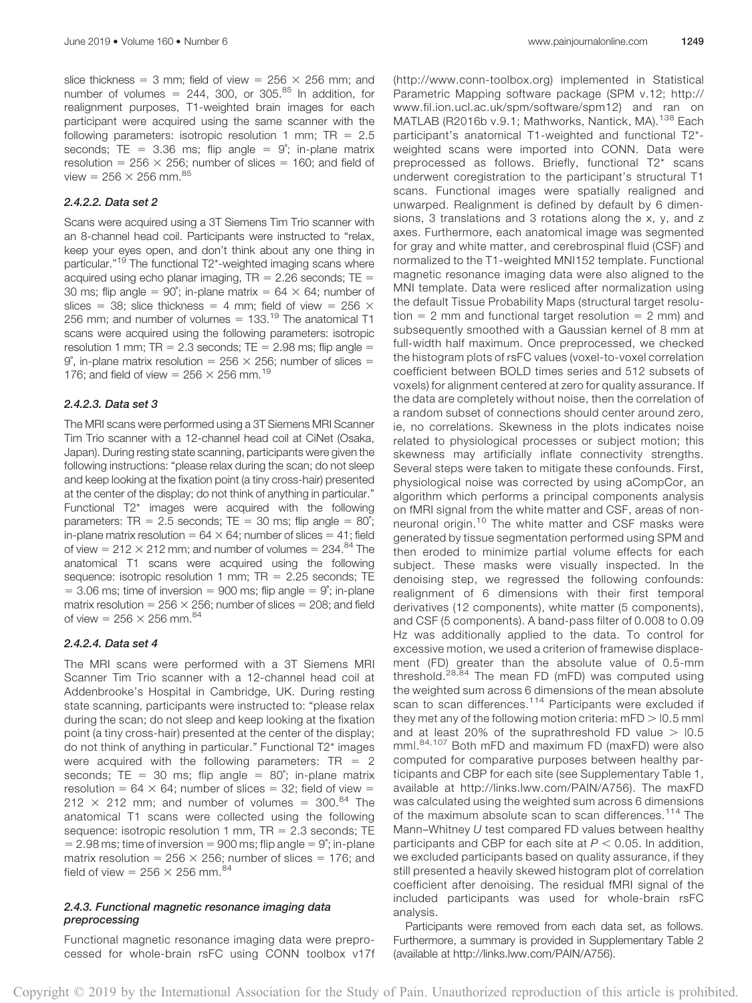slice thickness = 3 mm; field of view =  $256 \times 256$  mm; and number of volumes =  $244$ , 300, or 305.<sup>85</sup> In addition, for realignment purposes, T1-weighted brain images for each participant were acquired using the same scanner with the following parameters: isotropic resolution 1 mm;  $TR = 2.5$ seconds; TE =  $3.36$  ms; flip angle =  $9^\circ$ ; in-plane matrix resolution =  $256 \times 256$ ; number of slices = 160; and field of view =  $256 \times 256$  mm.<sup>85</sup>

# 2.4.2.2. Data set 2

Scans were acquired using a 3T Siemens Tim Trio scanner with an 8-channel head coil. Participants were instructed to "relax, keep your eyes open, and don't think about any one thing in particular."<sup>19</sup> The functional T2\*-weighted imaging scans where acquired using echo planar imaging,  $TR = 2.26$  seconds;  $TE =$ 30 ms; flip angle =  $90^\circ$ ; in-plane matrix =  $64 \times 64$ ; number of slices = 38; slice thickness = 4 mm; field of view = 256  $\times$ 256 mm; and number of volumes =  $133.<sup>19</sup>$  The anatomical T1 scans were acquired using the following parameters: isotropic resolution 1 mm;  $TR = 2.3$  seconds;  $TE = 2.98$  ms; flip angle = 9°, in-plane matrix resolution =  $256 \times 256$ ; number of slices = 176; and field of view =  $256 \times 256$  mm.<sup>19</sup>

# 2.4.2.3. Data set 3

The MRI scans were performed using a 3T Siemens MRI Scanner Tim Trio scanner with a 12-channel head coil at CiNet (Osaka, Japan). During resting state scanning, participants were given the following instructions: "please relax during the scan; do not sleep and keep looking at the fixation point (a tiny cross-hair) presented at the center of the display; do not think of anything in particular." Functional T2\* images were acquired with the following parameters: TR = 2.5 seconds; TE = 30 ms; flip angle =  $80^\circ$ ; in-plane matrix resolution =  $64 \times 64$ ; number of slices = 41; field of view =  $212 \times 212$  mm; and number of volumes =  $234.84$  The anatomical T1 scans were acquired using the following sequence: isotropic resolution 1 mm;  $TR = 2.25$  seconds; TE  $=$  3.06 ms; time of inversion  $=$  900 ms; flip angle  $= 9^\circ$ ; in-plane matrix resolution =  $256 \times 256$ ; number of slices =  $208$ ; and field of view =  $256 \times 256$  mm. $^{84}$ 

#### 2.4.2.4. Data set 4

The MRI scans were performed with a 3T Siemens MRI Scanner Tim Trio scanner with a 12-channel head coil at Addenbrooke's Hospital in Cambridge, UK. During resting state scanning, participants were instructed to: "please relax during the scan; do not sleep and keep looking at the fixation point (a tiny cross-hair) presented at the center of the display; do not think of anything in particular." Functional T2\* images were acquired with the following parameters:  $TR = 2$ seconds; TE = 30 ms; flip angle =  $80^\circ$ ; in-plane matrix resolution =  $64 \times 64$ ; number of slices = 32; field of view = 212  $\times$  212 mm; and number of volumes = 300.<sup>84</sup> The anatomical T1 scans were collected using the following sequence: isotropic resolution 1 mm,  $TR = 2.3$  seconds; TE  $= 2.98$  ms; time of inversion = 900 ms; flip angle =  $9^\circ$ ; in-plane matrix resolution =  $256 \times 256$ ; number of slices = 176; and field of view =  $256 \times 256$  mm.<sup>84</sup>

# 2.4.3. Functional magnetic resonance imaging data preprocessing

Functional magnetic resonance imaging data were preprocessed for whole-brain rsFC using CONN toolbox v17f ([http://www.conn-toolbox.org\)](http://www.conn-toolbox.org/) implemented in Statistical Parametric Mapping software package (SPM v.12; [http://](http://www.fil.ion.ucl.ac.uk/spm/software/spm12)) [www.fil.ion.ucl.ac.uk/spm/software/spm12\)](http://www.fil.ion.ucl.ac.uk/spm/software/spm12)) and ran on MATLAB (R2016b v.9.1; Mathworks, Nantick, MA).<sup>138</sup> Each participant's anatomical T1-weighted and functional T2\* weighted scans were imported into CONN. Data were preprocessed as follows. Briefly, functional T2\* scans underwent coregistration to the participant's structural T1 scans. Functional images were spatially realigned and unwarped. Realignment is defined by default by 6 dimensions, 3 translations and 3 rotations along the x, y, and z axes. Furthermore, each anatomical image was segmented for gray and white matter, and cerebrospinal fluid (CSF) and normalized to the T1-weighted MNI152 template. Functional magnetic resonance imaging data were also aligned to the MNI template. Data were resliced after normalization using the default Tissue Probability Maps (structural target resolution  $= 2$  mm and functional target resolution  $= 2$  mm) and subsequently smoothed with a Gaussian kernel of 8 mm at full-width half maximum. Once preprocessed, we checked the histogram plots of rsFC values (voxel-to-voxel correlation coefficient between BOLD times series and 512 subsets of voxels) for alignment centered at zero for quality assurance. If the data are completely without noise, then the correlation of a random subset of connections should center around zero, ie, no correlations. Skewness in the plots indicates noise related to physiological processes or subject motion; this skewness may artificially inflate connectivity strengths. Several steps were taken to mitigate these confounds. First, physiological noise was corrected by using aCompCor, an algorithm which performs a principal components analysis on fMRI signal from the white matter and CSF, areas of nonneuronal origin.<sup>10</sup> The white matter and CSF masks were generated by tissue segmentation performed using SPM and then eroded to minimize partial volume effects for each subject. These masks were visually inspected. In the denoising step, we regressed the following confounds: realignment of 6 dimensions with their first temporal derivatives (12 components), white matter (5 components), and CSF (5 components). A band-pass filter of 0.008 to 0.09 Hz was additionally applied to the data. To control for excessive motion, we used a criterion of framewise displacement (FD) greater than the absolute value of 0.5-mm threshold.<sup>28,84</sup> The mean FD (mFD) was computed using the weighted sum across 6 dimensions of the mean absolute scan to scan differences.<sup>114</sup> Participants were excluded if they met any of the following motion criteria:  $mFD > 0.5$  mml and at least 20% of the suprathreshold FD value  $> 10.5$ mm|.84,107 Both mFD and maximum FD (maxFD) were also computed for comparative purposes between healthy participants and CBP for each site (see Supplementary Table 1, available at<http://links.lww.com/PAIN/A756>). The maxFD was calculated using the weighted sum across 6 dimensions of the maximum absolute scan to scan differences.<sup>114</sup> The Mann–Whitney U test compared FD values between healthy participants and CBP for each site at  $P < 0.05$ . In addition, we excluded participants based on quality assurance, if they still presented a heavily skewed histogram plot of correlation coefficient after denoising. The residual fMRI signal of the included participants was used for whole-brain rsFC analysis.

Participants were removed from each data set, as follows. Furthermore, a summary is provided in Supplementary Table 2 (available at [http://links.lww.com/PAIN/A756\)](http://links.lww.com/PAIN/A756).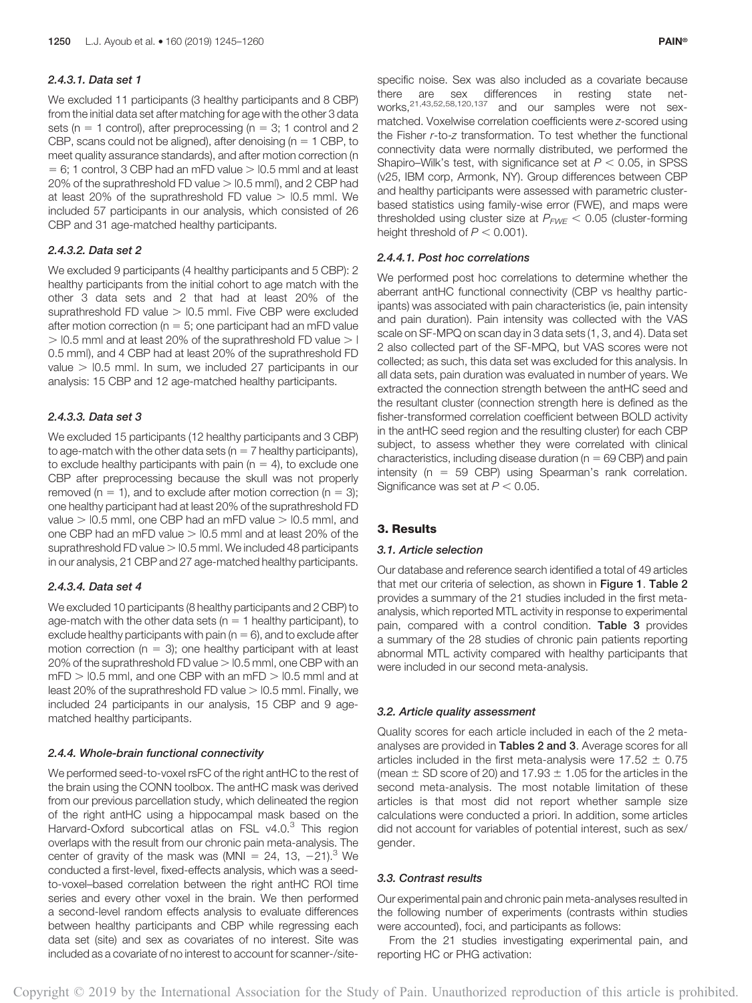#### 2.4.3.1. Data set 1

We excluded 11 participants (3 healthy participants and 8 CBP) from the initial data set after matching for age with the other 3 data sets ( $n = 1$  control), after preprocessing ( $n = 3$ ; 1 control and 2 CBP, scans could not be aligned), after denoising ( $n = 1$  CBP, to meet quality assurance standards), and after motion correction (n  $= 6$ ; 1 control, 3 CBP had an mFD value  $> 10.5$  mml and at least 20% of the suprathreshold FD value  $>$  10.5 mml), and 2 CBP had at least 20% of the suprathreshold FD value  $> 10.5$  mml. We included 57 participants in our analysis, which consisted of 26 CBP and 31 age-matched healthy participants.

# 2.4.3.2. Data set 2

We excluded 9 participants (4 healthy participants and 5 CBP): 2 healthy participants from the initial cohort to age match with the other 3 data sets and 2 that had at least 20% of the suprathreshold FD value  $>$  10.5 mml. Five CBP were excluded after motion correction ( $n = 5$ ; one participant had an mFD value  $>$  10.5 mml and at least 20% of the suprathreshold FD value  $>$  1 0.5 mm|), and 4 CBP had at least 20% of the suprathreshold FD value  $>$  10.5 mml. In sum, we included 27 participants in our analysis: 15 CBP and 12 age-matched healthy participants.

# 2.4.3.3. Data set 3

We excluded 15 participants (12 healthy participants and 3 CBP) to age-match with the other data sets ( $n = 7$  healthy participants), to exclude healthy participants with pain ( $n = 4$ ), to exclude one CBP after preprocessing because the skull was not properly removed ( $n = 1$ ), and to exclude after motion correction ( $n = 3$ ); one healthy participant had at least 20% of the suprathreshold FD value  $>$  10.5 mml, one CBP had an mFD value  $>$  10.5 mml, and one CBP had an mFD value  $>$  10.5 mml and at least 20% of the suprathreshold FD value  $>$  10.5 mml. We included 48 participants in our analysis, 21 CBP and 27 age-matched healthy participants.

#### 2.4.3.4. Data set 4

We excluded 10 participants (8 healthy participants and 2 CBP) to age-match with the other data sets ( $n = 1$  healthy participant), to exclude healthy participants with pain ( $n = 6$ ), and to exclude after motion correction ( $n = 3$ ); one healthy participant with at least 20% of the suprathreshold FD value  $>$  10.5 mml, one CBP with an  $mFD > 0.5$  mml, and one CBP with an mFD  $> 0.5$  mml and at least 20% of the suprathreshold FD value  $>$  10.5 mml. Finally, we included 24 participants in our analysis, 15 CBP and 9 agematched healthy participants.

#### 2.4.4. Whole-brain functional connectivity

We performed seed-to-voxel rsFC of the right antHC to the rest of the brain using the CONN toolbox. The antHC mask was derived from our previous parcellation study, which delineated the region of the right antHC using a hippocampal mask based on the Harvard-Oxford subcortical atlas on FSL v4.0.<sup>3</sup> This region overlaps with the result from our chronic pain meta-analysis. The center of gravity of the mask was (MNI = 24, 13,  $-21$ ).<sup>3</sup> We conducted a first-level, fixed-effects analysis, which was a seedto-voxel–based correlation between the right antHC ROI time series and every other voxel in the brain. We then performed a second-level random effects analysis to evaluate differences between healthy participants and CBP while regressing each data set (site) and sex as covariates of no interest. Site was included as a covariate of no interest to account for scanner-/sitespecific noise. Sex was also included as a covariate because there are sex differences in resting state networks, $21,43,52,58,120,137$  and our samples were not sexmatched. Voxelwise correlation coefficients were z-scored using the Fisher r-to-z transformation. To test whether the functional connectivity data were normally distributed, we performed the Shapiro–Wilk's test, with significance set at  $P < 0.05$ , in SPSS (v25, IBM corp, Armonk, NY). Group differences between CBP and healthy participants were assessed with parametric clusterbased statistics using family-wise error (FWE), and maps were thresholded using cluster size at  $P_{FWF}$  < 0.05 (cluster-forming height threshold of  $P < 0.001$ ).

# 2.4.4.1. Post hoc correlations

We performed post hoc correlations to determine whether the aberrant antHC functional connectivity (CBP vs healthy participants) was associated with pain characteristics (ie, pain intensity and pain duration). Pain intensity was collected with the VAS scale on SF-MPQ on scan day in 3 data sets (1, 3, and 4). Data set 2 also collected part of the SF-MPQ, but VAS scores were not collected; as such, this data set was excluded for this analysis. In all data sets, pain duration was evaluated in number of years. We extracted the connection strength between the antHC seed and the resultant cluster (connection strength here is defined as the fisher-transformed correlation coefficient between BOLD activity in the antHC seed region and the resulting cluster) for each CBP subject, to assess whether they were correlated with clinical characteristics, including disease duration ( $n = 69$  CBP) and pain intensity ( $n = 59$  CBP) using Spearman's rank correlation. Significance was set at  $P < 0.05$ .

# 3. Results

# 3.1. Article selection

Our database and reference search identified a total of 49 articles that met our criteria of selection, as shown in Figure 1. Table 2 provides a summary of the 21 studies included in the first metaanalysis, which reported MTL activity in response to experimental pain, compared with a control condition. Table 3 provides a summary of the 28 studies of chronic pain patients reporting abnormal MTL activity compared with healthy participants that were included in our second meta-analysis.

#### 3.2. Article quality assessment

Quality scores for each article included in each of the 2 metaanalyses are provided in Tables 2 and 3. Average scores for all articles included in the first meta-analysis were  $17.52 \pm 0.75$ (mean  $\pm$  SD score of 20) and 17.93  $\pm$  1.05 for the articles in the second meta-analysis. The most notable limitation of these articles is that most did not report whether sample size calculations were conducted a priori. In addition, some articles did not account for variables of potential interest, such as sex/ gender.

#### 3.3. Contrast results

Our experimental pain and chronic pain meta-analyses resulted in the following number of experiments (contrasts within studies were accounted), foci, and participants as follows:

From the 21 studies investigating experimental pain, and reporting HC or PHG activation: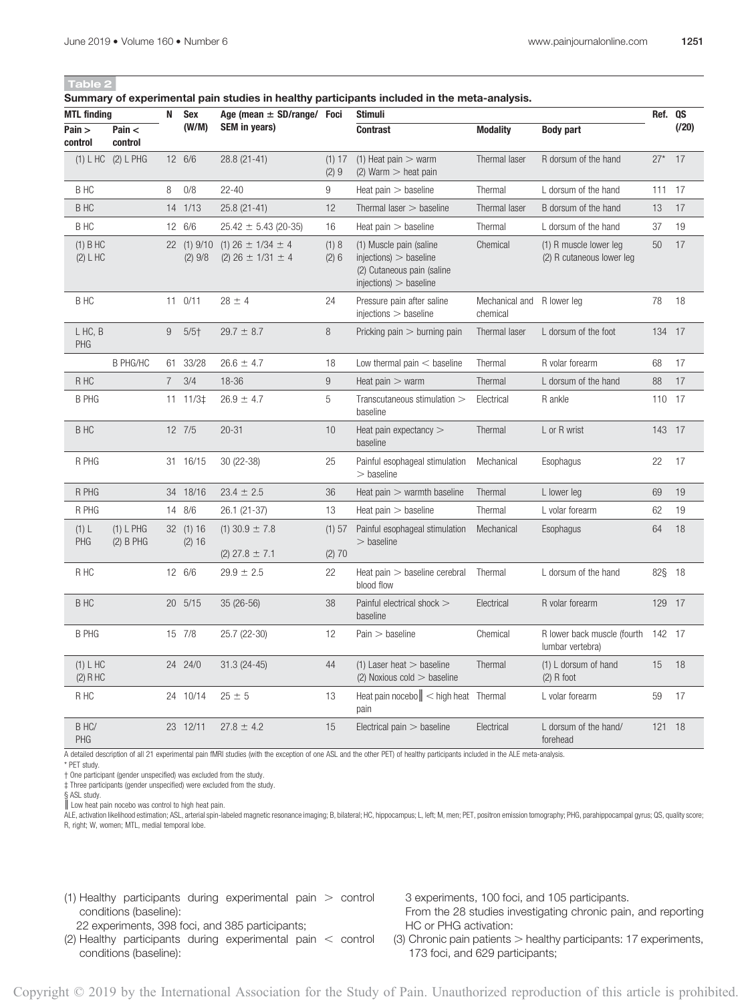#### Summary of experimental pain studies in healthy participants included in the meta-analysis.

| <br><b>MTL finding</b>  |                          | N           | <b>Sex</b>                 | Age (mean $\pm$ SD/range/ Foci                             |                | Stimuli                                                                                                     |                                        |                                                        | Ref. QS |       |
|-------------------------|--------------------------|-------------|----------------------------|------------------------------------------------------------|----------------|-------------------------------------------------------------------------------------------------------------|----------------------------------------|--------------------------------------------------------|---------|-------|
| Pain ><br>control       | Pain $<$<br>control      |             | (W/M)                      | SEM in years)                                              |                | <b>Contrast</b>                                                                                             | <b>Modality</b>                        | <b>Body part</b>                                       |         | (120) |
|                         | (1) L HC (2) L PHG       |             | 12 6/6                     | 28.8 (21-41)                                               | (1) 17<br>(2)9 | $(1)$ Heat pain $>$ warm<br>$(2)$ Warm $>$ heat pain                                                        | Thermal laser                          | R dorsum of the hand                                   | $27*$   | 17    |
| B HC                    |                          | 8           | 0/8                        | $22 - 40$                                                  | 9              | Heat $pain >$ baseline                                                                                      | Thermal                                | L dorsum of the hand                                   | 111     | -17   |
| B HC                    |                          |             | 14 1/13                    | 25.8 (21-41)                                               | 12             | Thermal laser $>$ baseline                                                                                  | Thermal laser                          | B dorsum of the hand                                   | 13      | 17    |
| B HC                    |                          |             | 12 6/6                     | $25.42 \pm 5.43$ (20-35)                                   | 16             | Heat $pain >$ baseline                                                                                      | Thermal                                | L dorsum of the hand                                   | 37      | 19    |
| $(1)$ B HC<br>(2) L H C |                          |             | 22 (1) 9/10<br>$(2)$ $9/8$ | $(1)$ 26 $\pm$ 1/34 $\pm$ 4<br>$(2)$ 26 $\pm$ 1/31 $\pm$ 4 | (1) 8<br>(2)6  | (1) Muscle pain (saline<br>$injections$ > baseline<br>(2) Cutaneous pain (saline<br>$injections$ > baseline | Chemical                               | (1) R muscle lower leg<br>(2) R cutaneous lower leg    | 50      | 17    |
| B HC                    |                          |             | $11 \t 0/11$               | $28 \pm 4$                                                 | 24             | Pressure pain after saline<br>$injections$ $>$ baseline                                                     | Mechanical and R lower leg<br>chemical |                                                        | 78      | 18    |
| L HC, B<br><b>PHG</b>   |                          | 9           | $5/5$ <sup>+</sup>         | $29.7 \pm 8.7$                                             | $\,8\,$        | Pricking pain $>$ burning pain                                                                              | Thermal laser                          | L dorsum of the foot                                   | 134 17  |       |
|                         | <b>B PHG/HC</b>          |             | 61 33/28                   | $26.6 \pm 4.7$                                             | 18             | Low thermal pain $<$ baseline                                                                               | Thermal                                | R volar forearm                                        | 68      | 17    |
| R HC                    |                          | $7^{\circ}$ | 3/4                        | 18-36                                                      | 9              | Heat $pain > warm$                                                                                          | Thermal                                | L dorsum of the hand                                   | 88      | 17    |
| <b>B PHG</b>            |                          |             | 11 11/3‡                   | $26.9 \pm 4.7$                                             | 5              | Transcutaneous stimulation $>$<br>baseline                                                                  | Electrical                             | R ankle                                                | 110 17  |       |
| <b>BHC</b>              |                          |             | 12 7/5                     | $20 - 31$                                                  | 10             | Heat pain expectancy $>$<br>baseline                                                                        | Thermal                                | L or R wrist                                           | 143 17  |       |
| R PHG                   |                          |             | 31 16/15                   | 30 (22-38)                                                 | 25             | Painful esophageal stimulation<br>$>$ baseline                                                              | Mechanical                             | Esophagus                                              | 22      | 17    |
| R PHG                   |                          |             | 34 18/16                   | $23.4 \pm 2.5$                                             | 36             | Heat pain $>$ warmth baseline                                                                               | Thermal                                | L lower leg                                            | 69      | 19    |
| R PHG                   |                          |             | 14 8/6                     | 26.1 (21-37)                                               | 13             | Heat $pain >$ baseline                                                                                      | Thermal                                | L volar forearm                                        | 62      | 19    |
| (1) L<br>PHG            | (1) L PHG<br>$(2)$ B PHG |             | 32 (1) 16<br>(2) 16        | $(1)$ 30.9 $\pm$ 7.8                                       | (1) 57         | Painful esophageal stimulation<br>$>$ baseline                                                              | Mechanical                             | Esophagus                                              | 64      | 18    |
|                         |                          |             |                            | $(2)$ 27.8 $\pm$ 7.1                                       | (2) 70         |                                                                                                             |                                        |                                                        |         |       |
| R HC                    |                          |             | 12 6/6                     | $29.9 \pm 2.5$                                             | 22             | Heat pain > baseline cerebral<br>blood flow                                                                 | Thermal                                | L dorsum of the hand                                   | 82§ 18  |       |
| B HC                    |                          |             | 20 5/15                    | 35 (26-56)                                                 | 38             | Painful electrical shock ><br>baseline                                                                      | Electrical                             | R volar forearm                                        | 129 17  |       |
| <b>B PHG</b>            |                          |             | 15 7/8                     | 25.7 (22-30)                                               | 12             | Pain > baseline                                                                                             | Chemical                               | R lower back muscle (fourth 142 17<br>lumbar vertebra) |         |       |
| (1) L H C<br>$(2)$ R HC |                          |             | 24 24/0                    | $31.3(24-45)$                                              | 44             | $(1)$ Laser heat $>$ baseline<br>$(2)$ Noxious cold $>$ baseline                                            | Thermal                                | (1) L dorsum of hand<br>$(2)$ R foot                   | 15      | 18    |
| R HC                    |                          |             | 24 10/14                   | $25 \pm 5$                                                 | 13             | Heat pain nocebo $\ $ < high heat Thermal<br>pain                                                           |                                        | L volar forearm                                        | 59      | 17    |
| B HC/<br><b>PHG</b>     |                          |             | 23 12/11                   | $27.8 \pm 4.2$                                             | 15             | Electrical pain $>$ baseline                                                                                | Electrical                             | L dorsum of the hand/<br>forehead                      | 121     | - 18  |
|                         |                          |             |                            |                                                            |                |                                                                                                             |                                        |                                                        |         |       |

A detailed description of all 21 experimental pain fMRI studies (with the exception of one ASL and the other PET) of healthy participants included in the ALE meta-analysis.

\* PET study.

† One participant (gender unspecified) was excluded from the study.

‡ Three participants (gender unspecified) were excluded from the study.

§ ASL study.

║ Low heat pain nocebo was control to high heat pain.

ALE, activation likelihood estimation; ASL, arterial spin-labeled magnetic resonance imaging; B, bilateral; HC, hippocampus; L, left; M, men; PET, positron emission tomography; PHG, parahippocampal gyrus; QS, quality score; R, right; W, women; MTL, medial temporal lobe.

(1) Healthy participants during experimental pain  $>$  control conditions (baseline):

22 experiments, 398 foci, and 385 participants;

- (2) Healthy participants during experimental pain  $\lt$  control conditions (baseline):
- 3 experiments, 100 foci, and 105 participants.

From the 28 studies investigating chronic pain, and reporting HC or PHG activation:

(3) Chronic pain patients  $>$  healthy participants: 17 experiments, 173 foci, and 629 participants;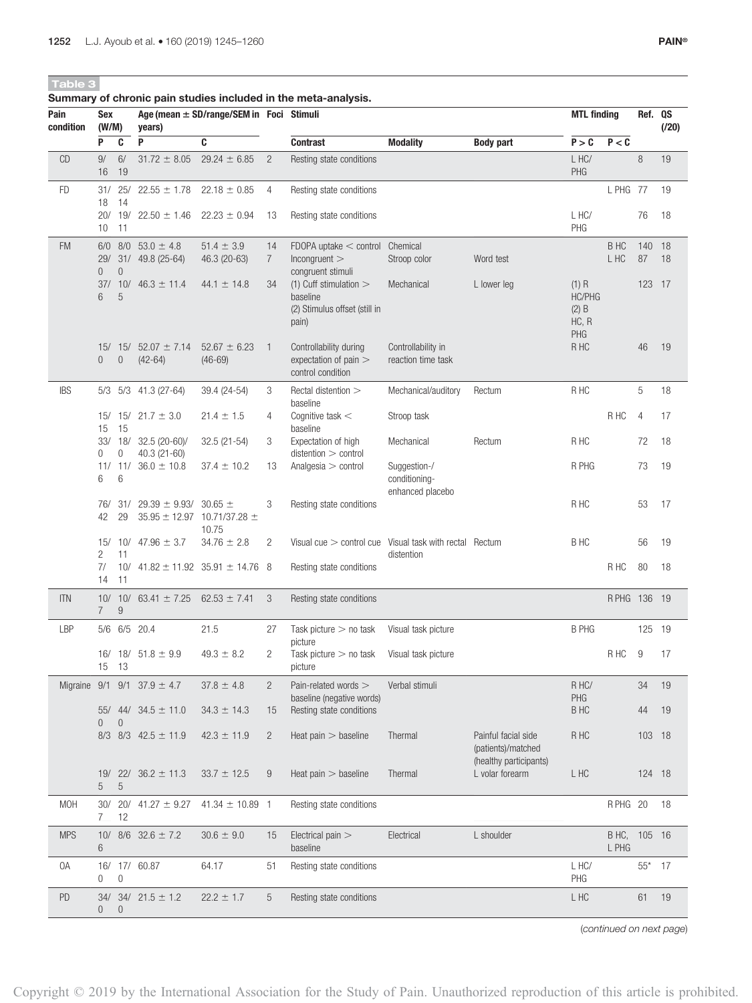Table 3

| Pain<br>condition | Sex<br>(W/M)          |                     | years)                                           | Age (mean $\pm$ SD/range/SEM in Foci Stimuli |                       | Summary of chronic pain studies included in the meta-analysis.                                      |                                                   |                                           | <b>MTL finding</b>                    |                | Ref. QS        | (120)      |
|-------------------|-----------------------|---------------------|--------------------------------------------------|----------------------------------------------|-----------------------|-----------------------------------------------------------------------------------------------------|---------------------------------------------------|-------------------------------------------|---------------------------------------|----------------|----------------|------------|
|                   | P                     | C                   | P                                                | C                                            |                       | <b>Contrast</b>                                                                                     | <b>Modality</b>                                   | <b>Body part</b>                          | P > C                                 | P < C          |                |            |
| CD                | $9/$<br>16            | 6/<br>19            | $31.72 \pm 8.05$                                 | $29.24 \pm 6.85$                             | $\overline{2}$        | Resting state conditions                                                                            |                                                   |                                           | $L$ HC/<br>PHG                        |                | 8              | 19         |
| <b>FD</b>         | 18                    | 31/ 25/<br>14       | $22.55 \pm 1.78$                                 | $22.18 \pm 0.85$                             | 4                     | Resting state conditions                                                                            |                                                   |                                           |                                       | L PHG 77       |                | 19         |
|                   | 10                    | 20/ 19/<br>11       | $22.50 \pm 1.46$                                 | $22.23 \pm 0.94$                             | 13                    | Resting state conditions                                                                            |                                                   |                                           | L HC/<br>PHG                          |                | 76             | 18         |
| <b>FM</b>         |                       |                     | $6/0$ 8/0 53.0 $\pm$ 4.8<br>29/ 31/ 49.8 (25-64) | $51.4 \pm 3.9$<br>46.3 (20-63)               | 14<br>$\overline{7}$  | FDOPA uptake $<$ control Chemical<br>Incongruent                                                    | Stroop color                                      | Word test                                 |                                       | B HC<br>L HC   | 140<br>87      | - 18<br>18 |
|                   | $\overline{0}$<br>6   | $\overline{0}$<br>5 | $37/10/46.3 \pm 11.4$                            | $44.1 \pm 14.8$                              | 34                    | congruent stimuli<br>(1) Cuff stimulation $>$<br>baseline<br>(2) Stimulus offset (still in<br>pain) | Mechanical                                        | L lower leg                               | $(1)$ R<br>HC/PHG<br>$(2)$ B<br>HC, R |                | 123 17         |            |
|                   | $\overline{0}$        | $\mathbf 0$         | $15/ 15/ 52.07 \pm 7.14$<br>$(42-64)$            | $52.67 \pm 6.23$<br>$(46-69)$                | $\overline{1}$        | Controllability during<br>expectation of pain ><br>control condition                                | Controllability in<br>reaction time task          |                                           | PHG<br>R HC                           |                | 46             | 19         |
| <b>IBS</b>        |                       |                     | 5/3 5/3 41.3 (27-64)                             | 39.4 (24-54)                                 | 3                     | Rectal distention ><br>baseline                                                                     | Mechanical/auditory                               | Rectum                                    | R HC                                  |                | 5              | 18         |
|                   | 15                    | - 15                | 15/ 15/ 21.7 $\pm$ 3.0                           | $21.4 \pm 1.5$                               | 4                     | Cognitive task $<$<br>baseline                                                                      | Stroop task                                       |                                           |                                       | R HC           | $\overline{4}$ | 17         |
|                   | $\mathbf{0}$          | 0                   | 33/ 18/ 32.5 (20-60)/<br>$40.3(21-60)$           | 32.5 (21-54)                                 | 3                     | Expectation of high<br>distention > control                                                         | Mechanical                                        | Rectum                                    | R HC                                  |                | 72             | 18         |
|                   | 6                     | 6                   | 11/ 11/ 36.0 $\pm$ 10.8                          | $37.4 \pm 10.2$                              | 13                    | Analgesia $>$ control                                                                               | Suggestion-/<br>conditioning-<br>enhanced placebo |                                           | R PHG                                 |                | 73             | 19         |
|                   | 76/<br>42             | 31/<br>29           | 29.39 $\pm$ 9.93/ 30.65 $\pm$                    | $35.95 \pm 12.97$ 10.71/37.28 $\pm$<br>10.75 | 3                     | Resting state conditions                                                                            |                                                   |                                           | R HC                                  |                | 53             | 17         |
|                   | 2                     | 11                  | 15/ 10/ 47.96 $\pm$ 3.7                          | $34.76 \pm 2.8$                              | 2                     | Visual cue $>$ control cue Visual task with rectal Rectum                                           | distention                                        |                                           | B HC                                  |                | 56             | 19         |
|                   | 7/<br>14              | 10/<br>11           |                                                  | $41.82 \pm 11.92$ 35.91 $\pm$ 14.76 8        |                       | Resting state conditions                                                                            |                                                   |                                           |                                       | R HC           | 80             | 18         |
| <b>ITN</b>        | $\overline{7}$        | $\boldsymbol{9}$    | 10/ 10/ 63.41 $\pm$ 7.25                         | 62.53 $\pm$ 7.41                             | 3                     | Resting state conditions                                                                            |                                                   |                                           |                                       | R PHG 136 19   |                |            |
| LBP               |                       |                     | 5/6 6/5 20.4                                     | 21.5                                         | 27                    | Task picture $>$ no task<br>picture                                                                 | Visual task picture                               |                                           | <b>B PHG</b>                          |                | 125 19         |            |
|                   | 15 13                 |                     | 16/ 18/ $51.8 \pm 9.9$                           | $49.3 \pm 8.2$                               | 2                     | Task picture $>$ no task<br>picture                                                                 | Visual task picture                               |                                           |                                       | R HC           | 9              | 17         |
|                   |                       |                     | Migraine $9/1$ $9/1$ $37.9 \pm 4.7$              | $37.8 \pm 4.8$                               | $\overline{2}$        | Pain-related words ><br>baseline (negative words)                                                   | Verbal stimuli                                    |                                           | R HC/<br>PHG                          |                | 34             | 19         |
|                   | 55/<br>$\overline{0}$ | $\mathbf 0$         | 44/ $34.5 \pm 11.0$                              | $34.3 \pm 14.3$                              | 15                    | Resting state conditions                                                                            |                                                   |                                           | <b>BHC</b>                            |                | 44             | 19         |
|                   |                       |                     | 8/3 8/3 42.5 $\pm$ 11.9                          | $42.3 \pm 11.9$                              | $\mathbf{2}^{\prime}$ | Heat $pain >$ baseline                                                                              | Thermal                                           | Painful facial side<br>(patients)/matched | R HC                                  |                | 103 18         |            |
|                   | 5                     | 5                   | 19/ 22/ 36.2 $\pm$ 11.3                          | $33.7 \pm 12.5$                              | 9                     | Heat $pain >$ baseline                                                                              | Thermal                                           | (healthy participants)<br>L volar forearm | L HC                                  |                | 124 18         |            |
| <b>MOH</b>        | $\overline{7}$        | 30/20/<br>12        | $41.27 \pm 9.27$                                 | $41.34 \pm 10.89$ 1                          |                       | Resting state conditions                                                                            |                                                   |                                           |                                       | RPHG 20        |                | 18         |
| <b>MPS</b>        | 6                     |                     | 10/ $8/6$ 32.6 $\pm$ 7.2                         | $30.6 \pm 9.0$                               | 15                    | Electrical pain ><br>baseline                                                                       | Electrical                                        | L shoulder                                |                                       | B HC,<br>L PHG | 105 16         |            |
| 0A                | $\mathbf{0}$          | $\overline{0}$      | 16/ 17/ 60.87                                    | 64.17                                        | 51                    | Resting state conditions                                                                            |                                                   |                                           | L HC/<br>PHG                          |                | $55*$          | -17        |
| PD                | $\overline{0}$        | $\mathbf{0}$        | $34/34/21.5 \pm 1.2$                             | $22.2 \pm 1.7$                               | 5                     | Resting state conditions                                                                            |                                                   |                                           | L HC                                  |                | 61             | 19         |

(continued on next page)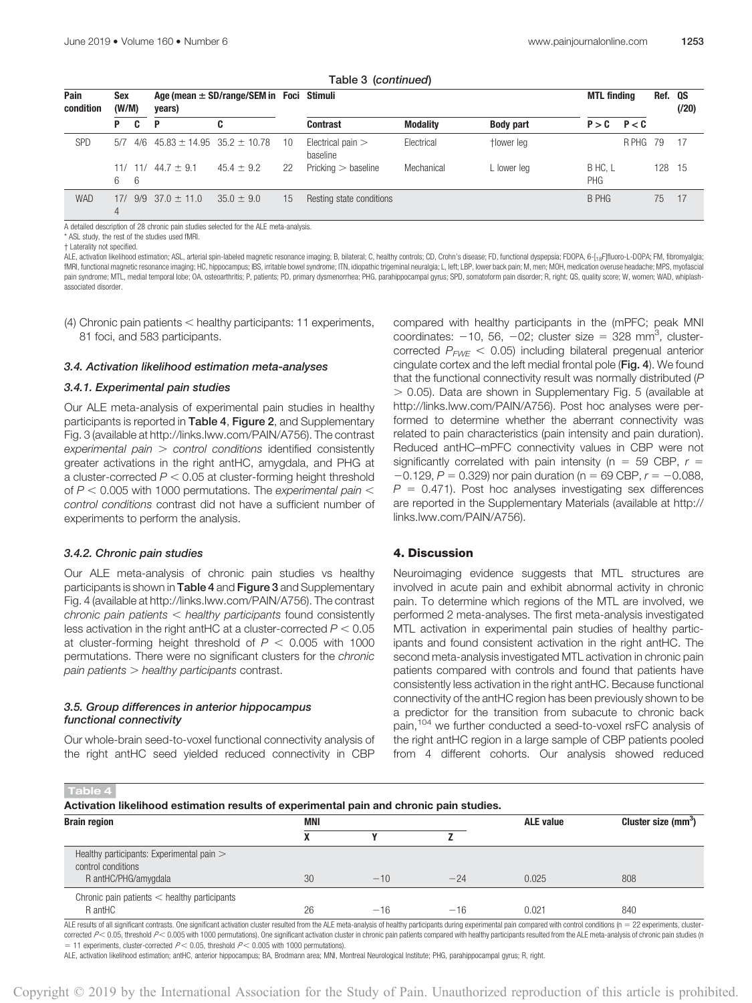| Pain<br>condition | Sex<br>(W/M) |          | Age (mean $\pm$ SD/range/SEM in Foci Stimuli<br>years) |                                       |    |                                 | <b>MTL finding</b> |                  | Ref. QS               | (720)   |     |      |
|-------------------|--------------|----------|--------------------------------------------------------|---------------------------------------|----|---------------------------------|--------------------|------------------|-----------------------|---------|-----|------|
|                   | P            | c        | P                                                      | C                                     |    | Contrast                        | <b>Modality</b>    | <b>Body part</b> | $P > C$ $P < C$       |         |     |      |
| <b>SPD</b>        | 5/7          | 4/6      |                                                        | $45.83 \pm 14.95$ 35.2 $\pm$ 10.78 10 |    | Electrical pain $>$<br>baseline | Electrical         | tlower leg       |                       | RPHG 79 |     | - 17 |
|                   | 11/<br>6     | 11/<br>6 | $44.7 \pm 9.1$                                         | $45.4 \pm 9.2$                        | 22 | Pricking > baseline             | Mechanical         | L lower leg      | B HC, L<br><b>PHG</b> |         | 128 | 15   |
| <b>WAD</b>        | 17/          | 9/9      | $37.0 \pm 11.0$                                        | $35.0 \pm 9.0$                        | 15 | Resting state conditions        |                    |                  | B PHG                 |         | 75  | 17   |

Table 3 (continued)

A detailed description of 28 chronic pain studies selected for the ALE meta-analysis.

\* ASL study, the rest of the studies used fMRI.

† Laterality not specified.

ALE, activation likelihood estimation; ASL, arterial spin-labeled magnetic resonance imaging; B, bilateral; C, healthy controls; CD, Crohn's disease; FD, functional dyspepsia; FDOPA, 6-[18F]fluoro-L-DOPA; FM, fibromyalgia; fMRI, functional magnetic resonance imaging; HC, hippocampus; IBS, irritable bowel syndrome; ITN, idiopathic trigeminal neuralgia; L, left; LBP, lower back pain; M, men; MOH, medication overuse headache; MPS, myofascial pain syndrome; MTL, medial temporal lobe; OA, osteoarthritis; P, patients; PD, primary dysmenorrhea; PHG, parahippocampal gyrus; SPD, somatoform pain disorder; R, right; QS, quality score; W, women; WAD, whiplashassociated disorder.

(4) Chronic pain patients  $<$  healthy participants: 11 experiments, 81 foci, and 583 participants.

#### 3.4. Activation likelihood estimation meta-analyses

#### 3.4.1. Experimental pain studies

Our ALE meta-analysis of experimental pain studies in healthy participants is reported in Table 4, Figure 2, and Supplementary Fig. 3 (available at<http://links.lww.com/PAIN/A756>). The contrast  $experiments$  pain  $>$  control conditions identified consistently greater activations in the right antHC, amygdala, and PHG at a cluster-corrected  $P < 0.05$  at cluster-forming height threshold of  $P < 0.005$  with 1000 permutations. The experimental pain  $<$ control conditions contrast did not have a sufficient number of experiments to perform the analysis.

#### 3.4.2. Chronic pain studies

Our ALE meta-analysis of chronic pain studies vs healthy participants is shown in Table 4 and Figure 3 and Supplementary Fig. 4 (available at<http://links.lww.com/PAIN/A756>). The contrast chronic pain patients  $\lt$  healthy participants found consistently less activation in the right antHC at a cluster-corrected  $P < 0.05$ at cluster-forming height threshold of  $P < 0.005$  with 1000 permutations. There were no significant clusters for the chronic  $pain$  patients  $>$  healthy participants contrast.

## 3.5. Group differences in anterior hippocampus functional connectivity

Our whole-brain seed-to-voxel functional connectivity analysis of the right antHC seed yielded reduced connectivity in CBP compared with healthy participants in the (mPFC; peak MNI coordinates:  $-10$ , 56,  $-02$ ; cluster size = 328 mm<sup>3</sup>, clustercorrected  $P_{FME}$  < 0.05) including bilateral pregenual anterior cingulate cortex and the left medial frontal pole (Fig. 4). We found that the functional connectivity result was normally distributed (P  $> 0.05$ ). Data are shown in Supplementary Fig. 5 (available at [http://links.lww.com/PAIN/A756\)](http://links.lww.com/PAIN/A756). Post hoc analyses were performed to determine whether the aberrant connectivity was related to pain characteristics (pain intensity and pain duration). Reduced antHC–mPFC connectivity values in CBP were not significantly correlated with pain intensity (n = 59 CBP,  $r =$  $-0.129$ ,  $P = 0.329$ ) nor pain duration (n = 69 CBP,  $r = -0.088$ ,  $P = 0.471$ ). Post hoc analyses investigating sex differences are reported in the Supplementary Materials (available at [http://](http://links.lww.com/PAIN/A756) [links.lww.com/PAIN/A756\)](http://links.lww.com/PAIN/A756).

## 4. Discussion

Neuroimaging evidence suggests that MTL structures are involved in acute pain and exhibit abnormal activity in chronic pain. To determine which regions of the MTL are involved, we performed 2 meta-analyses. The first meta-analysis investigated MTL activation in experimental pain studies of healthy participants and found consistent activation in the right antHC. The second meta-analysis investigated MTL activation in chronic pain patients compared with controls and found that patients have consistently less activation in the right antHC. Because functional connectivity of the antHC region has been previously shown to be a predictor for the transition from subacute to chronic back pain,<sup>104</sup> we further conducted a seed-to-voxel rsFC analysis of the right antHC region in a large sample of CBP patients pooled from 4 different cohorts. Our analysis showed reduced

#### Table 4

Activation likelihood estimation results of experimental pain and chronic pain studies.

| <b>Brain region</b>                                                                     | MNI |       |       | <b>ALE value</b> | Cluster size (mm <sup>3</sup> ) |  |  |
|-----------------------------------------------------------------------------------------|-----|-------|-------|------------------|---------------------------------|--|--|
|                                                                                         |     |       |       |                  |                                 |  |  |
| Healthy participants: Experimental pain ><br>control conditions<br>R antHC/PHG/amygdala | 30  | $-10$ | $-24$ | 0.025            | 808                             |  |  |
| Chronic pain patients $\lt$ healthy participants<br>R antHC                             | 26  | $-16$ | $-16$ | 0.021            | 840                             |  |  |

ALE results of all significant contrasts. One significant activation cluster resulted from the ALE meta-analysis of healthy participants during experimental pain compared with control conditions (n = 22 experiments, cluste corrected  $P$  < 0.05, threshold  $P$  < 0.005 with 1000 permutations). One significant activation cluster in chronic pain patients compared with healthy participants resulted from the ALE meta-analysis of chronic pain studi = 11 experiments, cluster-corrected  $P$  < 0.05, threshold  $P$  < 0.005 with 1000 permutations).

ALE, activation likelihood estimation; antHC, anterior hippocampus; BA, Brodmann area; MNI, Montreal Neurological Institute; PHG, parahippocampal gyrus; R, right.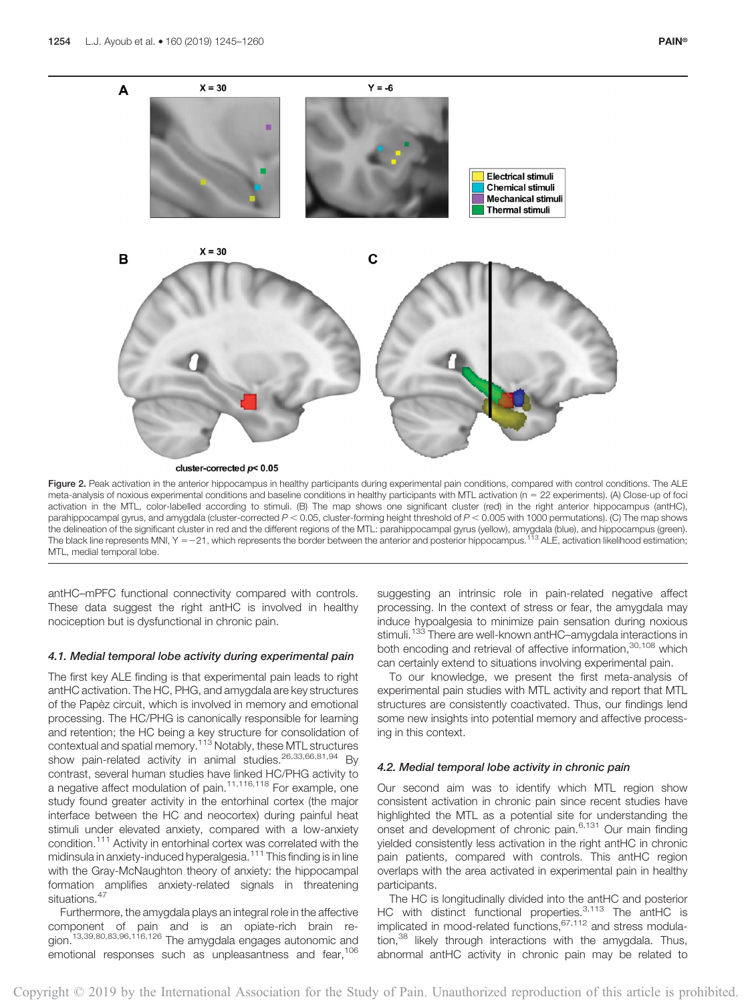

Figure 2. Peak activation in the anterior hippocampus in healthy participants during experimental pain conditions, compared with control conditions. The ALE meta-analysis of noxious experimental conditions and baseline conditions in healthy participants with MTL activation (n = 22 experiments). (A) Close-up of foci activation in the MTL, color-labelled according to stimuli. (B) The map shows one significant cluster (red) in the right anterior hippocampus (antHC), parahippocampal gyrus, and amygdala (cluster-corrected  $P < 0.05$ , cluster-forming height threshold of  $P < 0.005$  with 1000 permutations). (C) The map shows the delineation of the significant cluster in red and the different regions of the MTL: parahippocampal gyrus (yellow), amygdala (blue), and hippocampus (green).<br>The black line represents MNI, Y =–21, which represents the MTL, medial temporal lobe.

antHC–mPFC functional connectivity compared with controls. These data suggest the right antHC is involved in healthy nociception but is dysfunctional in chronic pain.

#### 4.1. Medial temporal lobe activity during experimental pain

The first key ALE finding is that experimental pain leads to right antHC activation. The HC, PHG, and amygdala are key structures of the Papèz circuit, which is involved in memory and emotional processing. The HC/PHG is canonically responsible for learning and retention; the HC being a key structure for consolidation of contextual and spatial memory.<sup>113</sup> Notably, these MTL structures show pain-related activity in animal studies.<sup>26,33,66,81,94</sup> By contrast, several human studies have linked HC/PHG activity to a negative affect modulation of pain.11,116,118 For example, one study found greater activity in the entorhinal cortex (the major interface between the HC and neocortex) during painful heat stimuli under elevated anxiety, compared with a low-anxiety condition.111 Activity in entorhinal cortex was correlated with the midinsula in anxiety-induced hyperalgesia.<sup>111</sup> This finding is in line with the Gray-McNaughton theory of anxiety: the hippocampal formation amplifies anxiety-related signals in threatening situations.<sup>47</sup>

Furthermore, the amygdala plays an integral role in the affective component of pain and is an opiate-rich brain region.<sup>13,39,80,83,96,116,126</sup> The amygdala engages autonomic and emotional responses such as unpleasantness and fear,<sup>106</sup> suggesting an intrinsic role in pain-related negative affect processing. In the context of stress or fear, the amygdala may induce hypoalgesia to minimize pain sensation during noxious stimuli.<sup>133</sup> There are well-known antHC–amygdala interactions in both encoding and retrieval of affective information,<sup>30,108</sup> which can certainly extend to situations involving experimental pain.

To our knowledge, we present the first meta-analysis of experimental pain studies with MTL activity and report that MTL structures are consistently coactivated. Thus, our findings lend some new insights into potential memory and affective processing in this context.

# 4.2. Medial temporal lobe activity in chronic pain

Our second aim was to identify which MTL region show consistent activation in chronic pain since recent studies have highlighted the MTL as a potential site for understanding the onset and development of chronic pain.<sup>6,131</sup> Our main finding yielded consistently less activation in the right antHC in chronic pain patients, compared with controls. This antHC region overlaps with the area activated in experimental pain in healthy participants.

The HC is longitudinally divided into the antHC and posterior HC with distinct functional properties.<sup>3,113</sup> The antHC is implicated in mood-related functions,67,112 and stress modulation, $38$  likely through interactions with the amygdala. Thus, abnormal antHC activity in chronic pain may be related to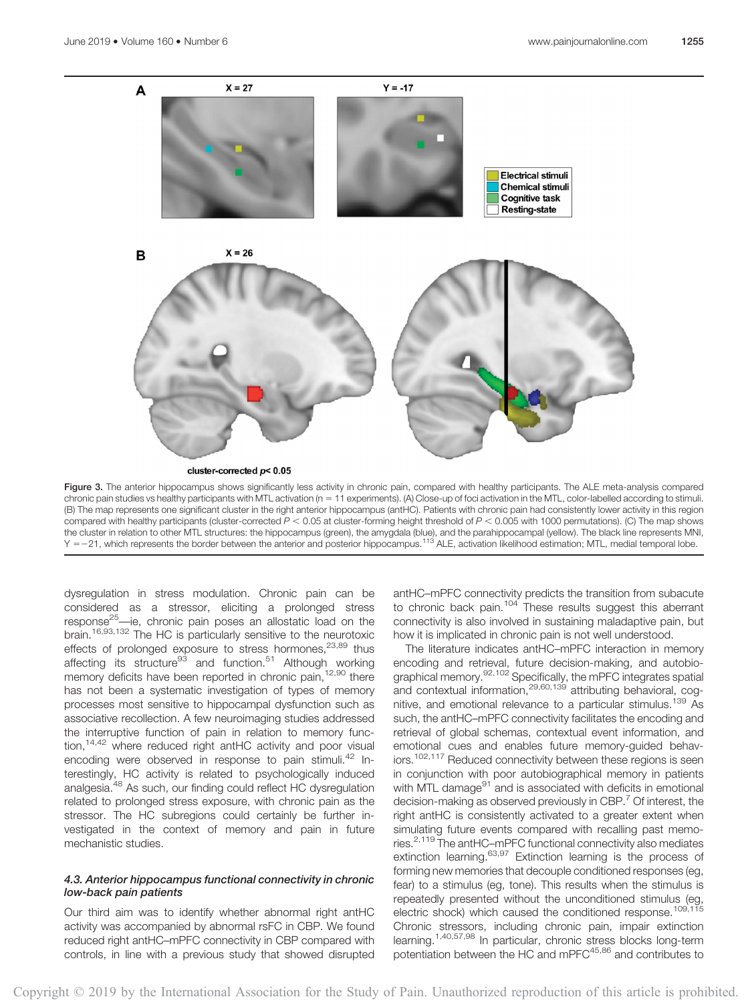

cluster-corrected  $p$ < 0.05

Figure 3. The anterior hippocampus shows significantly less activity in chronic pain, compared with healthy participants. The ALE meta-analysis compared chronic pain studies vs healthy participants with MTL activation (n = 11 experiments). (A) Close-up of foci activation in the MTL, color-labelled according to stimuli. (B) The map represents one significant cluster in the right anterior hippocampus (antHC). Patients with chronic pain had consistently lower activity in this region compared with healthy participants (cluster-corrected  $P < 0.05$  at cluster-forming height threshold of  $P < 0.005$  with 1000 permutations). (C) The map shows the cluster in relation to other MTL structures: the hippocampus (green), the amygdala (blue), and the parahippocampal (yellow). The black line represents MNI, Y = -21, which represents the border between the anterior and posterior hippocampus.<sup>113</sup> ALE, activation likelihood estimation; MTL, medial temporal lobe.

dysregulation in stress modulation. Chronic pain can be considered as a stressor, eliciting a prolonged stress response<sup>25</sup>—ie, chronic pain poses an allostatic load on the brain.16,93,132 The HC is particularly sensitive to the neurotoxic effects of prolonged exposure to stress hormones, $23,89$  thus affecting its structure<sup>93</sup> and function.<sup>51</sup> Although working memory deficits have been reported in chronic pain,<sup>12,90</sup> there has not been a systematic investigation of types of memory processes most sensitive to hippocampal dysfunction such as associative recollection. A few neuroimaging studies addressed the interruptive function of pain in relation to memory function,<sup>14,42</sup> where reduced right antHC activity and poor visual encoding were observed in response to pain stimuli.<sup>42</sup> Interestingly, HC activity is related to psychologically induced analgesia.<sup>48</sup> As such, our finding could reflect HC dysregulation related to prolonged stress exposure, with chronic pain as the stressor. The HC subregions could certainly be further investigated in the context of memory and pain in future mechanistic studies.

# 4.3. Anterior hippocampus functional connectivity in chronic low-back pain patients

Our third aim was to identify whether abnormal right antHC activity was accompanied by abnormal rsFC in CBP. We found reduced right antHC–mPFC connectivity in CBP compared with controls, in line with a previous study that showed disrupted

antHC–mPFC connectivity predicts the transition from subacute to chronic back pain.<sup>104</sup> These results suggest this aberrant connectivity is also involved in sustaining maladaptive pain, but how it is implicated in chronic pain is not well understood.

The literature indicates antHC–mPFC interaction in memory encoding and retrieval, future decision-making, and autobiographical memory.<sup>92,102</sup> Specifically, the mPFC integrates spatial and contextual information,<sup>29,60,139</sup> attributing behavioral, cognitive, and emotional relevance to a particular stimulus.<sup>139</sup> As such, the antHC–mPFC connectivity facilitates the encoding and retrieval of global schemas, contextual event information, and emotional cues and enables future memory-guided behaviors.<sup>102,117</sup> Reduced connectivity between these regions is seen in conjunction with poor autobiographical memory in patients with MTL damage<sup>91</sup> and is associated with deficits in emotional decision-making as observed previously in CBP.<sup>7</sup> Of interest, the right antHC is consistently activated to a greater extent when simulating future events compared with recalling past memories.2,119 The antHC–mPFC functional connectivity also mediates extinction learning.<sup>63,97</sup> Extinction learning is the process of forming new memories that decouple conditioned responses (eg, fear) to a stimulus (eg, tone). This results when the stimulus is repeatedly presented without the unconditioned stimulus (eg, electric shock) which caused the conditioned response.<sup>109,115</sup> Chronic stressors, including chronic pain, impair extinction learning.1,40,57,98 In particular, chronic stress blocks long-term potentiation between the HC and mPFC<sup>45,86</sup> and contributes to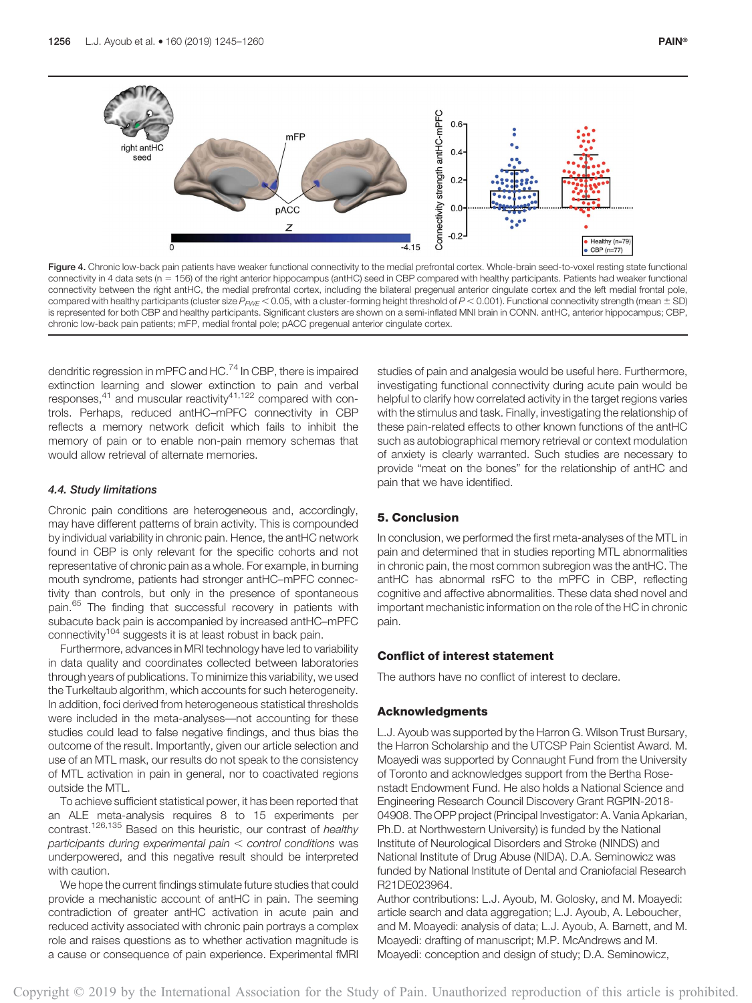

Figure 4. Chronic low-back pain patients have weaker functional connectivity to the medial prefrontal cortex. Whole-brain seed-to-voxel resting state functional connectivity in 4 data sets (n 5 156) of the right anterior hippocampus (antHC) seed in CBP compared with healthy participants. Patients had weaker functional connectivity between the right antHC, the medial prefrontal cortex, including the bilateral pregenual anterior cingulate cortex and the left medial frontal pole, compared with healthy participants (cluster size  $P_{FWE}$  < 0.05, with a cluster-forming height threshold of  $P$  < 0.001). Functional connectivity strength (mean  $\pm$  SD) is represented for both CBP and healthy participants. Significant clusters are shown on a semi-inflated MNI brain in CONN. antHC, anterior hippocampus; CBP, chronic low-back pain patients; mFP, medial frontal pole; pACC pregenual anterior cingulate cortex.

dendritic regression in mPFC and HC.<sup>74</sup> In CBP, there is impaired extinction learning and slower extinction to pain and verbal responses, $41$  and muscular reactivity $41,122$  compared with controls. Perhaps, reduced antHC–mPFC connectivity in CBP reflects a memory network deficit which fails to inhibit the memory of pain or to enable non-pain memory schemas that would allow retrieval of alternate memories.

#### 4.4. Study limitations

Chronic pain conditions are heterogeneous and, accordingly, may have different patterns of brain activity. This is compounded by individual variability in chronic pain. Hence, the antHC network found in CBP is only relevant for the specific cohorts and not representative of chronic pain as a whole. For example, in burning mouth syndrome, patients had stronger antHC–mPFC connectivity than controls, but only in the presence of spontaneous pain.<sup>65</sup> The finding that successful recovery in patients with subacute back pain is accompanied by increased antHC–mPFC connectivity<sup>104</sup> suggests it is at least robust in back pain.

Furthermore, advances in MRI technology have led to variability in data quality and coordinates collected between laboratories through years of publications. To minimize this variability, we used the Turkeltaub algorithm, which accounts for such heterogeneity. In addition, foci derived from heterogeneous statistical thresholds were included in the meta-analyses—not accounting for these studies could lead to false negative findings, and thus bias the outcome of the result. Importantly, given our article selection and use of an MTL mask, our results do not speak to the consistency of MTL activation in pain in general, nor to coactivated regions outside the MTL.

To achieve sufficient statistical power, it has been reported that an ALE meta-analysis requires 8 to 15 experiments per contrast.<sup>126,135</sup> Based on this heuristic, our contrast of healthy participants during experimental pain  $<$  control conditions was underpowered, and this negative result should be interpreted with caution.

We hope the current findings stimulate future studies that could provide a mechanistic account of antHC in pain. The seeming contradiction of greater antHC activation in acute pain and reduced activity associated with chronic pain portrays a complex role and raises questions as to whether activation magnitude is a cause or consequence of pain experience. Experimental fMRI

studies of pain and analgesia would be useful here. Furthermore, investigating functional connectivity during acute pain would be helpful to clarify how correlated activity in the target regions varies with the stimulus and task. Finally, investigating the relationship of these pain-related effects to other known functions of the antHC such as autobiographical memory retrieval or context modulation of anxiety is clearly warranted. Such studies are necessary to provide "meat on the bones" for the relationship of antHC and pain that we have identified.

# 5. Conclusion

In conclusion, we performed the first meta-analyses of the MTL in pain and determined that in studies reporting MTL abnormalities in chronic pain, the most common subregion was the antHC. The antHC has abnormal rsFC to the mPFC in CBP, reflecting cognitive and affective abnormalities. These data shed novel and important mechanistic information on the role of the HC in chronic pain.

# Conflict of interest statement

The authors have no conflict of interest to declare.

# Acknowledgments

L.J. Ayoub was supported by the Harron G. Wilson Trust Bursary, the Harron Scholarship and the UTCSP Pain Scientist Award. M. Moayedi was supported by Connaught Fund from the University of Toronto and acknowledges support from the Bertha Rosenstadt Endowment Fund. He also holds a National Science and Engineering Research Council Discovery Grant RGPIN-2018- 04908. The OPP project (Principal Investigator: A. Vania Apkarian, Ph.D. at Northwestern University) is funded by the National Institute of Neurological Disorders and Stroke (NINDS) and National Institute of Drug Abuse (NIDA). D.A. Seminowicz was funded by National Institute of Dental and Craniofacial Research R21DE023964.

Author contributions: L.J. Ayoub, M. Golosky, and M. Moayedi: article search and data aggregation; L.J. Ayoub, A. Leboucher, and M. Moayedi: analysis of data; L.J. Ayoub, A. Barnett, and M. Moayedi: drafting of manuscript; M.P. McAndrews and M. Moayedi: conception and design of study; D.A. Seminowicz,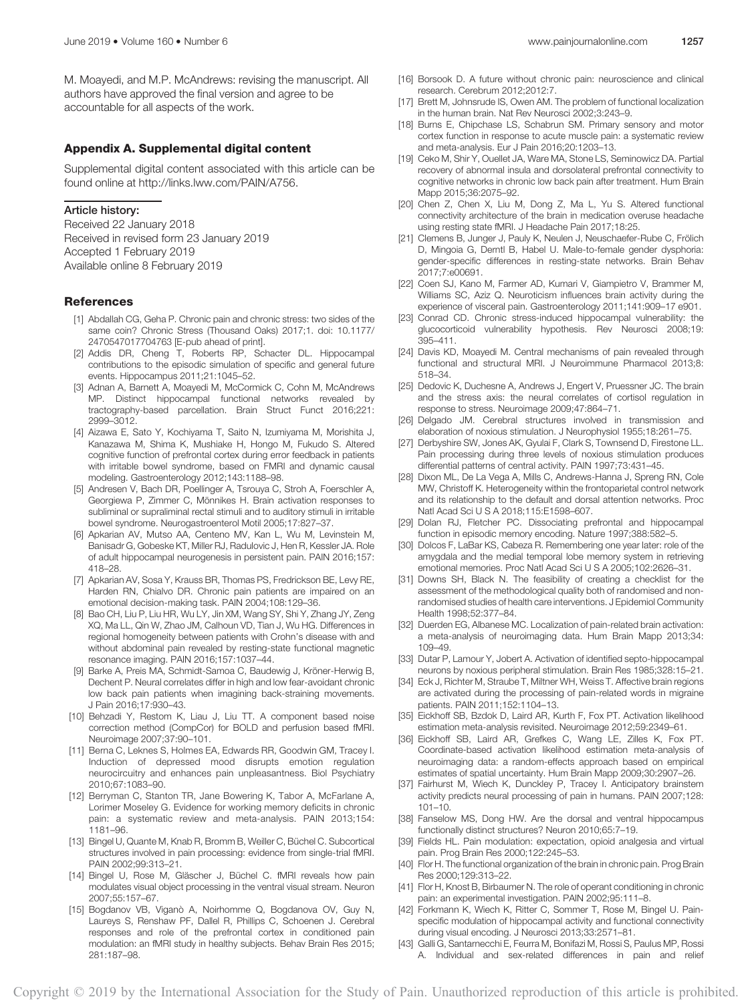M. Moayedi, and M.P. McAndrews: revising the manuscript. All authors have approved the final version and agree to be accountable for all aspects of the work.

#### Appendix A. Supplemental digital content

Supplemental digital content associated with this article can be found online at<http://links.lww.com/PAIN/A756>.

#### Article history:

Received 22 January 2018 Received in revised form 23 January 2019 Accepted 1 February 2019 Available online 8 February 2019

#### References

- [1] Abdallah CG, Geha P. Chronic pain and chronic stress: two sides of the same coin? Chronic Stress (Thousand Oaks) 2017;1. doi: 10.1177/ 2470547017704763 [E-pub ahead of print].
- [2] Addis DR, Cheng T, Roberts RP, Schacter DL. Hippocampal contributions to the episodic simulation of specific and general future events. Hippocampus 2011;21:1045–52.
- [3] Adnan A, Barnett A, Moayedi M, McCormick C, Cohn M, McAndrews MP. Distinct hippocampal functional networks revealed by tractography-based parcellation. Brain Struct Funct 2016;221: 2999–3012.
- [4] Aizawa E, Sato Y, Kochiyama T, Saito N, Izumiyama M, Morishita J, Kanazawa M, Shima K, Mushiake H, Hongo M, Fukudo S. Altered cognitive function of prefrontal cortex during error feedback in patients with irritable bowel syndrome, based on FMRI and dynamic causal modeling. Gastroenterology 2012;143:1188–98.
- [5] Andresen V, Bach DR, Poellinger A, Tsrouya C, Stroh A, Foerschler A, Georgiewa P, Zimmer C, Mönnikes H. Brain activation responses to subliminal or supraliminal rectal stimuli and to auditory stimuli in irritable bowel syndrome. Neurogastroenterol Motil 2005;17:827–37.
- [6] Apkarian AV, Mutso AA, Centeno MV, Kan L, Wu M, Levinstein M, Banisadr G, Gobeske KT, Miller RJ, Radulovic J, Hen R, Kessler JA. Role of adult hippocampal neurogenesis in persistent pain. PAIN 2016;157: 418–28.
- [7] Apkarian AV, Sosa Y, Krauss BR, Thomas PS, Fredrickson BE, Levy RE, Harden RN, Chialvo DR. Chronic pain patients are impaired on an emotional decision-making task. PAIN 2004;108:129–36.
- [8] Bao CH, Liu P, Liu HR, Wu LY, Jin XM, Wang SY, Shi Y, Zhang JY, Zeng XQ, Ma LL, Qin W, Zhao JM, Calhoun VD, Tian J, Wu HG. Differences in regional homogeneity between patients with Crohn's disease with and without abdominal pain revealed by resting-state functional magnetic resonance imaging. PAIN 2016;157:1037–44.
- [9] Barke A, Preis MA, Schmidt-Samoa C, Baudewig J, Kröner-Herwig B, Dechent P. Neural correlates differ in high and low fear-avoidant chronic low back pain patients when imagining back-straining movements. J Pain 2016;17:930–43.
- [10] Behzadi Y, Restom K, Liau J, Liu TT. A component based noise correction method (CompCor) for BOLD and perfusion based fMRI. Neuroimage 2007;37:90–101.
- [11] Berna C, Leknes S, Holmes EA, Edwards RR, Goodwin GM, Tracey I. Induction of depressed mood disrupts emotion regulation neurocircuitry and enhances pain unpleasantness. Biol Psychiatry 2010;67:1083–90.
- [12] Berryman C, Stanton TR, Jane Bowering K, Tabor A, McFarlane A, Lorimer Moseley G. Evidence for working memory deficits in chronic pain: a systematic review and meta-analysis. PAIN 2013;154: 1181–96.
- [13] Bingel U, Quante M, Knab R, Bromm B, Weiller C, Büchel C. Subcortical structures involved in pain processing: evidence from single-trial fMRI. PAIN 2002;99:313–21.
- [14] Bingel U, Rose M, Gläscher J, Büchel C. fMRI reveals how pain modulates visual object processing in the ventral visual stream. Neuron 2007;55:157–67.
- [15] Bogdanov VB, Viganò A, Noirhomme Q, Bogdanova OV, Guy N, Laureys S, Renshaw PF, Dallel R, Phillips C, Schoenen J. Cerebral responses and role of the prefrontal cortex in conditioned pain modulation: an fMRI study in healthy subjects. Behav Brain Res 2015; 281:187–98.
- [16] Borsook D. A future without chronic pain: neuroscience and clinical research. Cerebrum 2012;2012:7.
- [17] Brett M, Johnsrude IS, Owen AM. The problem of functional localization in the human brain. Nat Rev Neurosci 2002;3:243–9.
- [18] Burns E, Chipchase LS, Schabrun SM. Primary sensory and motor cortex function in response to acute muscle pain: a systematic review and meta-analysis. Eur J Pain 2016;20:1203–13.
- [19] Ceko M, Shir Y, Ouellet JA, Ware MA, Stone LS, Seminowicz DA. Partial recovery of abnormal insula and dorsolateral prefrontal connectivity to cognitive networks in chronic low back pain after treatment. Hum Brain Mapp 2015;36:2075–92.
- [20] Chen Z, Chen X, Liu M, Dong Z, Ma L, Yu S. Altered functional connectivity architecture of the brain in medication overuse headache using resting state fMRI. J Headache Pain 2017;18:25.
- [21] Clemens B, Junger J, Pauly K, Neulen J, Neuschaefer-Rube C, Frölich D, Mingoia G, Derntl B, Habel U. Male-to-female gender dysphoria: gender-specific differences in resting-state networks. Brain Behav 2017;7:e00691.
- [22] Coen SJ, Kano M, Farmer AD, Kumari V, Giampietro V, Brammer M, Williams SC, Aziz Q. Neuroticism influences brain activity during the experience of visceral pain. Gastroenterology 2011;141:909–17 e901.
- [23] Conrad CD. Chronic stress-induced hippocampal vulnerability: the glucocorticoid vulnerability hypothesis. Rev Neurosci 2008;19: 395–411.
- [24] Davis KD, Moayedi M. Central mechanisms of pain revealed through functional and structural MRI. J Neuroimmune Pharmacol 2013;8: 518–34.
- [25] Dedovic K, Duchesne A, Andrews J, Engert V, Pruessner JC. The brain and the stress axis: the neural correlates of cortisol regulation in response to stress. Neuroimage 2009;47:864–71.
- [26] Delgado JM. Cerebral structures involved in transmission and elaboration of noxious stimulation. J Neurophysiol 1955;18:261–75.
- [27] Derbyshire SW, Jones AK, Gyulai F, Clark S, Townsend D, Firestone LL. Pain processing during three levels of noxious stimulation produces differential patterns of central activity. PAIN 1997;73:431–45.
- [28] Dixon ML, De La Vega A, Mills C, Andrews-Hanna J, Spreng RN, Cole MW, Christoff K. Heterogeneity within the frontoparietal control network and its relationship to the default and dorsal attention networks. Proc Natl Acad Sci U S A 2018;115:E1598–607.
- [29] Dolan RJ, Fletcher PC. Dissociating prefrontal and hippocampal function in episodic memory encoding. Nature 1997;388:582–5.
- [30] Dolcos F, LaBar KS, Cabeza R. Remembering one year later: role of the amygdala and the medial temporal lobe memory system in retrieving emotional memories. Proc Natl Acad Sci U S A 2005;102:2626–31.
- [31] Downs SH, Black N. The feasibility of creating a checklist for the assessment of the methodological quality both of randomised and nonrandomised studies of health care interventions. J Epidemiol Community Health 1998;52:377–84.
- [32] Duerden EG, Albanese MC. Localization of pain-related brain activation: a meta-analysis of neuroimaging data. Hum Brain Mapp 2013;34: 109–49.
- [33] Dutar P, Lamour Y, Jobert A. Activation of identified septo-hippocampal neurons by noxious peripheral stimulation. Brain Res 1985;328:15–21.
- [34] Eck J, Richter M, Straube T, Miltner WH, Weiss T. Affective brain regions are activated during the processing of pain-related words in migraine patients. PAIN 2011;152:1104–13.
- [35] Eickhoff SB, Bzdok D, Laird AR, Kurth F, Fox PT. Activation likelihood estimation meta-analysis revisited. Neuroimage 2012;59:2349–61.
- [36] Eickhoff SB, Laird AR, Grefkes C, Wang LE, Zilles K, Fox PT. Coordinate-based activation likelihood estimation meta-analysis of neuroimaging data: a random-effects approach based on empirical estimates of spatial uncertainty. Hum Brain Mapp 2009;30:2907–26.
- [37] Fairhurst M, Wiech K, Dunckley P, Tracey I. Anticipatory brainstem activity predicts neural processing of pain in humans. PAIN 2007;128: 101–10.
- [38] Fanselow MS, Dong HW. Are the dorsal and ventral hippocampus functionally distinct structures? Neuron 2010;65:7–19.
- [39] Fields HL. Pain modulation: expectation, opioid analgesia and virtual pain. Prog Brain Res 2000;122:245–53.
- [40] Flor H. The functional organization of the brain in chronic pain. Prog Brain Res 2000;129:313–22.
- [41] Flor H, Knost B, Birbaumer N. The role of operant conditioning in chronic pain: an experimental investigation. PAIN 2002;95:111–8.
- [42] Forkmann K, Wiech K, Ritter C, Sommer T, Rose M, Bingel U. Painspecific modulation of hippocampal activity and functional connectivity during visual encoding. J Neurosci 2013;33:2571–81.
- [43] Galli G, Santarnecchi E, Feurra M, Bonifazi M, Rossi S, Paulus MP, Rossi A. Individual and sex-related differences in pain and relief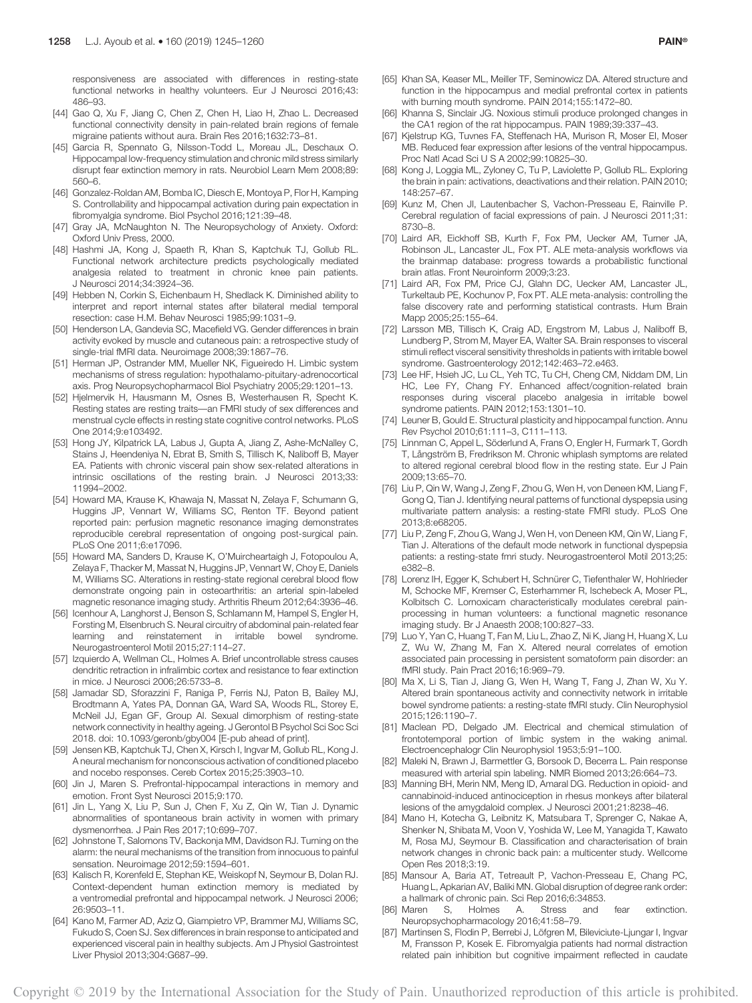responsiveness are associated with differences in resting-state functional networks in healthy volunteers. Eur J Neurosci 2016;43: 486–93.

- [44] Gao Q, Xu F, Jiang C, Chen Z, Chen H, Liao H, Zhao L. Decreased functional connectivity density in pain-related brain regions of female migraine patients without aura. Brain Res 2016;1632:73–81.
- [45] Garcia R, Spennato G, Nilsson-Todd L, Moreau JL, Deschaux O. Hippocampal low-frequency stimulation and chronic mild stress similarly disrupt fear extinction memory in rats. Neurobiol Learn Mem 2008;89: 560–6.
- [46] Gonzalez-Roldan AM, Bomba IC, Diesch E, Montoya P, Flor H, Kamping S. Controllability and hippocampal activation during pain expectation in fibromyalgia syndrome. Biol Psychol 2016;121:39–48.
- [47] Gray JA, McNaughton N. The Neuropsychology of Anxiety. Oxford: Oxford Univ Press, 2000.
- [48] Hashmi JA, Kong J, Spaeth R, Khan S, Kaptchuk TJ, Gollub RL. Functional network architecture predicts psychologically mediated analgesia related to treatment in chronic knee pain patients. J Neurosci 2014;34:3924–36.
- [49] Hebben N, Corkin S, Eichenbaum H, Shedlack K. Diminished ability to interpret and report internal states after bilateral medial temporal resection: case H.M. Behav Neurosci 1985;99:1031–9.
- [50] Henderson LA, Gandevia SC, Macefield VG. Gender differences in brain activity evoked by muscle and cutaneous pain: a retrospective study of single-trial fMRI data. Neuroimage 2008;39:1867–76.
- [51] Herman JP, Ostrander MM, Mueller NK, Figueiredo H. Limbic system mechanisms of stress regulation: hypothalamo-pituitary-adrenocortical axis. Prog Neuropsychopharmacol Biol Psychiatry 2005;29:1201–13.
- [52] Hjelmervik H, Hausmann M, Osnes B, Westerhausen R, Specht K. Resting states are resting traits—an FMRI study of sex differences and menstrual cycle effects in resting state cognitive control networks. PLoS One 2014;9:e103492.
- [53] Hong JY, Kilpatrick LA, Labus J, Gupta A, Jiang Z, Ashe-McNalley C, Stains J, Heendeniya N, Ebrat B, Smith S, Tillisch K, Naliboff B, Mayer EA. Patients with chronic visceral pain show sex-related alterations in intrinsic oscillations of the resting brain. J Neurosci 2013;33: 11994–2002.
- [54] Howard MA, Krause K, Khawaja N, Massat N, Zelaya F, Schumann G, Huggins JP, Vennart W, Williams SC, Renton TF. Beyond patient reported pain: perfusion magnetic resonance imaging demonstrates reproducible cerebral representation of ongoing post-surgical pain. PLoS One 2011;6:e17096.
- [55] Howard MA, Sanders D, Krause K, O'Muircheartaigh J, Fotopoulou A, Zelaya F, Thacker M, Massat N, Huggins JP, Vennart W, Choy E, Daniels M, Williams SC. Alterations in resting-state regional cerebral blood flow demonstrate ongoing pain in osteoarthritis: an arterial spin-labeled magnetic resonance imaging study. Arthritis Rheum 2012;64:3936–46.
- [56] Icenhour A, Langhorst J, Benson S, Schlamann M, Hampel S, Engler H, Forsting M, Elsenbruch S. Neural circuitry of abdominal pain-related fear learning and reinstatement in irritable bowel syndrome. Neurogastroenterol Motil 2015;27:114–27.
- [57] Izquierdo A, Wellman CL, Holmes A. Brief uncontrollable stress causes dendritic retraction in infralimbic cortex and resistance to fear extinction in mice. J Neurosci 2006;26:5733–8.
- [58] Jamadar SD, Sforazzini F, Raniga P, Ferris NJ, Paton B, Bailey MJ, Brodtmann A, Yates PA, Donnan GA, Ward SA, Woods RL, Storey E, McNeil JJ, Egan GF, Group AI. Sexual dimorphism of resting-state network connectivity in healthy ageing. J Gerontol B Psychol Sci Soc Sci 2018. doi: 10.1093/geronb/gby004 [E-pub ahead of print].
- [59] Jensen KB, Kaptchuk TJ, Chen X, Kirsch I, Ingvar M, Gollub RL, Kong J. A neural mechanism for nonconscious activation of conditioned placebo and nocebo responses. Cereb Cortex 2015;25:3903–10.
- [60] Jin J, Maren S. Prefrontal-hippocampal interactions in memory and emotion. Front Syst Neurosci 2015;9:170.
- [61] Jin L, Yang X, Liu P, Sun J, Chen F, Xu Z, Qin W, Tian J. Dynamic abnormalities of spontaneous brain activity in women with primary dysmenorrhea. J Pain Res 2017;10:699–707.
- [62] Johnstone T, Salomons TV, Backonja MM, Davidson RJ. Turning on the alarm: the neural mechanisms of the transition from innocuous to painful sensation. Neuroimage 2012;59:1594–601.
- [63] Kalisch R, Korenfeld E, Stephan KE, Weiskopf N, Seymour B, Dolan RJ. Context-dependent human extinction memory is mediated by a ventromedial prefrontal and hippocampal network. J Neurosci 2006; 26:9503–11.
- [64] Kano M, Farmer AD, Aziz Q, Giampietro VP, Brammer MJ, Williams SC, Fukudo S, Coen SJ. Sex differences in brain response to anticipated and experienced visceral pain in healthy subjects. Am J Physiol Gastrointest Liver Physiol 2013;304:G687–99.
- [65] Khan SA, Keaser ML, Meiller TF, Seminowicz DA. Altered structure and function in the hippocampus and medial prefrontal cortex in patients with burning mouth syndrome. PAIN 2014;155:1472–80.
- [66] Khanna S, Sinclair JG. Noxious stimuli produce prolonged changes in the CA1 region of the rat hippocampus. PAIN 1989;39:337–43.
- [67] Kjelstrup KG, Tuvnes FA, Steffenach HA, Murison R, Moser EI, Moser MB. Reduced fear expression after lesions of the ventral hippocampus. Proc Natl Acad Sci U S A 2002;99:10825–30.
- [68] Kong J, Loggia ML, Zyloney C, Tu P, Laviolette P, Gollub RL. Exploring the brain in pain: activations, deactivations and their relation. PAIN 2010; 148:257–67.
- [69] Kunz M, Chen JI, Lautenbacher S, Vachon-Presseau E, Rainville P. Cerebral regulation of facial expressions of pain. J Neurosci 2011;31: 8730–8.
- [70] Laird AR, Eickhoff SB, Kurth F, Fox PM, Uecker AM, Turner JA, Robinson JL, Lancaster JL, Fox PT. ALE meta-analysis workflows via the brainmap database: progress towards a probabilistic functional brain atlas. Front Neuroinform 2009;3:23.
- [71] Laird AR, Fox PM, Price CJ, Glahn DC, Uecker AM, Lancaster JL, Turkeltaub PE, Kochunov P, Fox PT. ALE meta-analysis: controlling the false discovery rate and performing statistical contrasts. Hum Brain Mapp 2005;25:155–64.
- [72] Larsson MB, Tillisch K, Craig AD, Engstrom M, Labus J, Naliboff B, Lundberg P, Strom M, Mayer EA, Walter SA. Brain responses to visceral stimuli reflect visceral sensitivity thresholds in patients with irritable bowel syndrome. Gastroenterology 2012;142:463–72.e463.
- [73] Lee HF, Hsieh JC, Lu CL, Yeh TC, Tu CH, Cheng CM, Niddam DM, Lin HC, Lee FY, Chang FY. Enhanced affect/cognition-related brain responses during visceral placebo analgesia in irritable bowel syndrome patients. PAIN 2012;153:1301–10.
- [74] Leuner B, Gould E. Structural plasticity and hippocampal function. Annu Rev Psychol 2010;61:111–3, C111–113.
- [75] Linnman C, Appel L, Söderlund A, Frans O, Engler H, Furmark T, Gordh T, Långström B, Fredrikson M. Chronic whiplash symptoms are related to altered regional cerebral blood flow in the resting state. Eur J Pain 2009;13:65–70.
- [76] Liu P, Qin W, Wang J, Zeng F, Zhou G, Wen H, von Deneen KM, Liang F, Gong Q, Tian J. Identifying neural patterns of functional dyspepsia using multivariate pattern analysis: a resting-state FMRI study. PLoS One 2013;8:e68205.
- [77] Liu P, Zeng F, Zhou G, Wang J, Wen H, von Deneen KM, Qin W, Liang F, Tian J. Alterations of the default mode network in functional dyspepsia patients: a resting-state fmri study. Neurogastroenterol Motil 2013;25: e382–8.
- [78] Lorenz IH, Egger K, Schubert H, Schnürer C, Tiefenthaler W, Hohlrieder M, Schocke MF, Kremser C, Esterhammer R, Ischebeck A, Moser PL, Kolbitsch C. Lornoxicam characteristically modulates cerebral painprocessing in human volunteers: a functional magnetic resonance imaging study. Br J Anaesth 2008;100:827–33.
- [79] Luo Y, Yan C, Huang T, Fan M, Liu L, Zhao Z, Ni K, Jiang H, Huang X, Lu Z, Wu W, Zhang M, Fan X. Altered neural correlates of emotion associated pain processing in persistent somatoform pain disorder: an fMRI study. Pain Pract 2016;16:969–79.
- [80] Ma X, Li S, Tian J, Jiang G, Wen H, Wang T, Fang J, Zhan W, Xu Y. Altered brain spontaneous activity and connectivity network in irritable bowel syndrome patients: a resting-state fMRI study. Clin Neurophysiol 2015;126:1190–7.
- [81] Maclean PD, Delgado JM. Electrical and chemical stimulation of frontotemporal portion of limbic system in the waking animal. Electroencephalogr Clin Neurophysiol 1953;5:91–100.
- [82] Maleki N, Brawn J, Barmettler G, Borsook D, Becerra L. Pain response measured with arterial spin labeling. NMR Biomed 2013;26:664–73.
- [83] Manning BH, Merin NM, Meng ID, Amaral DG. Reduction in opioid- and cannabinoid-induced antinociception in rhesus monkeys after bilateral lesions of the amygdaloid complex. J Neurosci 2001;21:8238–46.
- [84] Mano H, Kotecha G, Leibnitz K, Matsubara T, Sprenger C, Nakae A, Shenker N, Shibata M, Voon V, Yoshida W, Lee M, Yanagida T, Kawato M, Rosa MJ, Seymour B. Classification and characterisation of brain network changes in chronic back pain: a multicenter study. Wellcome Open Res 2018;3:19.
- [85] Mansour A, Baria AT, Tetreault P, Vachon-Presseau E, Chang PC, Huang L, Apkarian AV, Baliki MN. Global disruption of degree rank order: a hallmark of chronic pain. Sci Rep 2016;6:34853.
- [86] Maren S, Holmes A. Stress and fear extinction. Neuropsychopharmacology 2016;41:58–79.
- [87] Martinsen S, Flodin P, Berrebi J, Löfgren M, Bileviciute-Ljungar I, Ingvar M, Fransson P, Kosek E. Fibromyalgia patients had normal distraction related pain inhibition but cognitive impairment reflected in caudate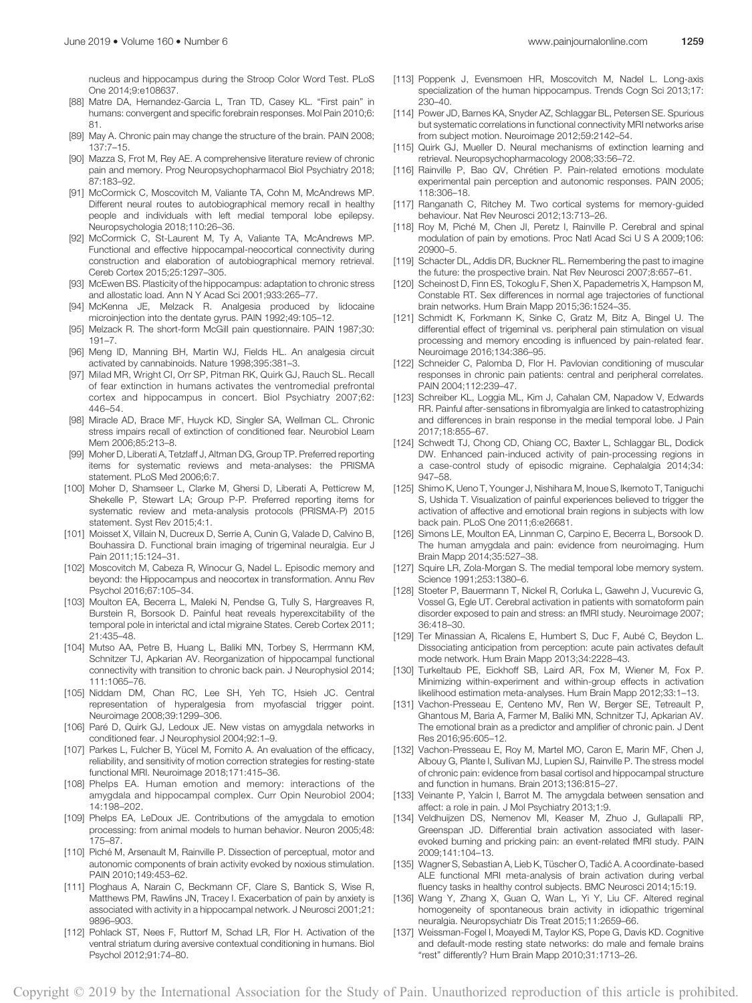nucleus and hippocampus during the Stroop Color Word Test. PLoS One 2014;9:e108637.

- [88] Matre DA, Hernandez-Garcia L, Tran TD, Casey KL. "First pain" in humans: convergent and specific forebrain responses. Mol Pain 2010;6: 81.
- [89] May A. Chronic pain may change the structure of the brain. PAIN 2008; 137:7–15.
- [90] Mazza S, Frot M, Rey AE. A comprehensive literature review of chronic pain and memory. Prog Neuropsychopharmacol Biol Psychiatry 2018; 87:183–92.
- [91] McCormick C, Moscovitch M, Valiante TA, Cohn M, McAndrews MP. Different neural routes to autobiographical memory recall in healthy people and individuals with left medial temporal lobe epilepsy. Neuropsychologia 2018;110:26–36.
- [92] McCormick C, St-Laurent M, Ty A, Valiante TA, McAndrews MP. Functional and effective hippocampal-neocortical connectivity during construction and elaboration of autobiographical memory retrieval. Cereb Cortex 2015;25:1297–305.
- [93] McEwen BS. Plasticity of the hippocampus: adaptation to chronic stress and allostatic load. Ann N Y Acad Sci 2001;933:265–77.
- [94] McKenna JE, Melzack R. Analgesia produced by lidocaine microinjection into the dentate gyrus. PAIN 1992;49:105–12.
- [95] Melzack R. The short-form McGill pain questionnaire. PAIN 1987;30: 191–7.
- [96] Meng ID, Manning BH, Martin WJ, Fields HL. An analgesia circuit activated by cannabinoids. Nature 1998;395:381–3.
- [97] Milad MR, Wright CI, Orr SP, Pitman RK, Quirk GJ, Rauch SL. Recall of fear extinction in humans activates the ventromedial prefrontal cortex and hippocampus in concert. Biol Psychiatry 2007;62: 446–54.
- [98] Miracle AD, Brace MF, Huyck KD, Singler SA, Wellman CL. Chronic stress impairs recall of extinction of conditioned fear. Neurobiol Learn Mem 2006;85:213–8.
- [99] Moher D, Liberati A, Tetzlaff J, Altman DG, Group TP. Preferred reporting items for systematic reviews and meta-analyses: the PRISMA statement. PLoS Med 2006;6:7.
- [100] Moher D, Shamseer L, Clarke M, Ghersi D, Liberati A, Petticrew M, Shekelle P, Stewart LA; Group P-P. Preferred reporting items for systematic review and meta-analysis protocols (PRISMA-P) 2015 statement. Syst Rev 2015;4:1.
- [101] Moisset X, Villain N, Ducreux D, Serrie A, Cunin G, Valade D, Calvino B, Bouhassira D. Functional brain imaging of trigeminal neuralgia. Eur J Pain 2011;15:124–31.
- [102] Moscovitch M, Cabeza R, Winocur G, Nadel L. Episodic memory and beyond: the Hippocampus and neocortex in transformation. Annu Rev Psychol 2016;67:105–34.
- [103] Moulton EA, Becerra L, Maleki N, Pendse G, Tully S, Hargreaves R, Burstein R, Borsook D. Painful heat reveals hyperexcitability of the temporal pole in interictal and ictal migraine States. Cereb Cortex 2011; 21:435–48.
- [104] Mutso AA, Petre B, Huang L, Baliki MN, Torbey S, Herrmann KM, Schnitzer TJ, Apkarian AV. Reorganization of hippocampal functional connectivity with transition to chronic back pain. J Neurophysiol 2014; 111:1065–76.
- [105] Niddam DM, Chan RC, Lee SH, Yeh TC, Hsieh JC. Central representation of hyperalgesia from myofascial trigger point. Neuroimage 2008;39:1299–306.
- [106] Paré D, Quirk GJ, Ledoux JE. New vistas on amygdala networks in conditioned fear. J Neurophysiol 2004;92:1–9.
- [107] Parkes L, Fulcher B, Yücel M, Fornito A. An evaluation of the efficacy, reliability, and sensitivity of motion correction strategies for resting-state functional MRI. Neuroimage 2018;171:415–36.
- [108] Phelps EA. Human emotion and memory: interactions of the amygdala and hippocampal complex. Curr Opin Neurobiol 2004; 14:198–202.
- [109] Phelps EA, LeDoux JE. Contributions of the amygdala to emotion processing: from animal models to human behavior. Neuron 2005;48: 175–87.
- [110] Piché M, Arsenault M, Rainville P. Dissection of perceptual, motor and autonomic components of brain activity evoked by noxious stimulation. PAIN 2010;149:453–62.
- [111] Ploghaus A, Narain C, Beckmann CF, Clare S, Bantick S, Wise R, Matthews PM, Rawlins JN, Tracey I. Exacerbation of pain by anxiety is associated with activity in a hippocampal network. J Neurosci 2001;21: 9896–903.
- [112] Pohlack ST, Nees F, Ruttorf M, Schad LR, Flor H. Activation of the ventral striatum during aversive contextual conditioning in humans. Biol Psychol 2012;91:74–80.
- [113] Poppenk J, Evensmoen HR, Moscovitch M, Nadel L. Long-axis specialization of the human hippocampus. Trends Cogn Sci 2013;17: 230–40.
- [114] Power JD, Barnes KA, Snyder AZ, Schlaggar BL, Petersen SE. Spurious but systematic correlations in functional connectivity MRI networks arise from subject motion. Neuroimage 2012;59:2142–54.
- [115] Quirk GJ, Mueller D. Neural mechanisms of extinction learning and retrieval. Neuropsychopharmacology 2008;33:56–72.
- [116] Rainville P, Bao QV, Chrétien P. Pain-related emotions modulate experimental pain perception and autonomic responses. PAIN 2005; 118:306–18.
- [117] Ranganath C, Ritchey M. Two cortical systems for memory-guided behaviour. Nat Rev Neurosci 2012;13:713–26.
- [118] Roy M, Piché M, Chen JI, Peretz I, Rainville P. Cerebral and spinal modulation of pain by emotions. Proc Natl Acad Sci U S A 2009;106: 20900–5.
- [119] Schacter DL, Addis DR, Buckner RL. Remembering the past to imagine the future: the prospective brain. Nat Rev Neurosci 2007;8:657–61.
- [120] Scheinost D, Finn ES, Tokoglu F, Shen X, Papademetris X, Hampson M, Constable RT. Sex differences in normal age trajectories of functional brain networks. Hum Brain Mapp 2015;36:1524–35.
- [121] Schmidt K, Forkmann K, Sinke C, Gratz M, Bitz A, Bingel U. The differential effect of trigeminal vs. peripheral pain stimulation on visual processing and memory encoding is influenced by pain-related fear. Neuroimage 2016;134:386–95.
- [122] Schneider C, Palomba D, Flor H. Pavlovian conditioning of muscular responses in chronic pain patients: central and peripheral correlates. PAIN 2004;112:239–47.
- [123] Schreiber KL, Loggia ML, Kim J, Cahalan CM, Napadow V, Edwards RR. Painful after-sensations in fibromyalgia are linked to catastrophizing and differences in brain response in the medial temporal lobe. J Pain 2017;18:855–67.
- [124] Schwedt TJ, Chong CD, Chiang CC, Baxter L, Schlaggar BL, Dodick DW. Enhanced pain-induced activity of pain-processing regions in a case-control study of episodic migraine. Cephalalgia 2014;34: 947–58.
- [125] Shimo K, Ueno T, Younger J, Nishihara M, Inoue S, Ikemoto T, Taniguchi S, Ushida T. Visualization of painful experiences believed to trigger the activation of affective and emotional brain regions in subjects with low back pain. PLoS One 2011;6:e26681.
- [126] Simons LE, Moulton EA, Linnman C, Carpino E, Becerra L, Borsook D. The human amygdala and pain: evidence from neuroimaging. Hum Brain Mapp 2014;35:527–38.
- [127] Squire LR, Zola-Morgan S. The medial temporal lobe memory system. Science 1991;253:1380–6.
- [128] Stoeter P, Bauermann T, Nickel R, Corluka L, Gawehn J, Vucurevic G, Vossel G, Egle UT. Cerebral activation in patients with somatoform pain disorder exposed to pain and stress: an fMRI study. Neuroimage 2007; 36:418–30.
- [129] Ter Minassian A, Ricalens E, Humbert S, Duc F, Aubé C, Beydon L. Dissociating anticipation from perception: acute pain activates default mode network. Hum Brain Mapp 2013;34:2228–43.
- [130] Turkeltaub PE, Eickhoff SB, Laird AR, Fox M, Wiener M, Fox P. Minimizing within-experiment and within-group effects in activation likelihood estimation meta-analyses. Hum Brain Mapp 2012;33:1–13.
- [131] Vachon-Presseau E, Centeno MV, Ren W, Berger SE, Tetreault P, Ghantous M, Baria A, Farmer M, Baliki MN, Schnitzer TJ, Apkarian AV. The emotional brain as a predictor and amplifier of chronic pain. J Dent Res 2016;95:605–12.
- [132] Vachon-Presseau E, Roy M, Martel MO, Caron E, Marin MF, Chen J, Albouy G, Plante I, Sullivan MJ, Lupien SJ, Rainville P. The stress model of chronic pain: evidence from basal cortisol and hippocampal structure and function in humans. Brain 2013;136:815–27.
- [133] Veinante P, Yalcin I, Barrot M. The amygdala between sensation and affect: a role in pain. J Mol Psychiatry 2013;1:9.
- [134] Veldhuijzen DS, Nemenov MI, Keaser M, Zhuo J, Gullapalli RP, Greenspan JD. Differential brain activation associated with laserevoked burning and pricking pain: an event-related fMRI study. PAIN 2009;141:104–13.
- [135] Wagner S, Sebastian A, Lieb K, Tüscher O, Tadić A. A coordinate-based ALE functional MRI meta-analysis of brain activation during verbal fluency tasks in healthy control subjects. BMC Neurosci 2014;15:19.
- [136] Wang Y, Zhang X, Guan Q, Wan L, Yi Y, Liu CF. Altered reginal homogeneity of spontaneous brain activity in idiopathic trigeminal neuralgia. Neuropsychiatr Dis Treat 2015;11:2659–66.
- [137] Weissman-Fogel I, Moayedi M, Taylor KS, Pope G, Davis KD. Cognitive and default-mode resting state networks: do male and female brains "rest" differently? Hum Brain Mapp 2010;31:1713–26.